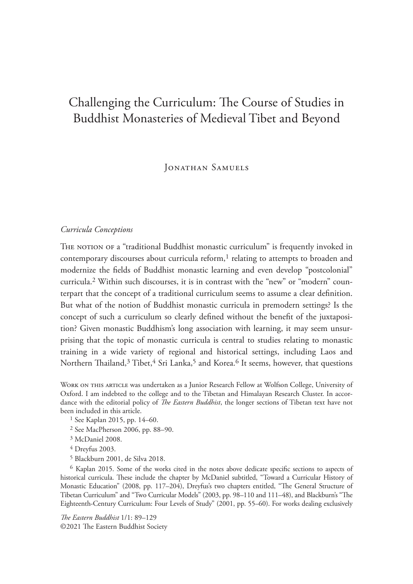# Challenging the Curriculum: The Course of Studies in Buddhist Monasteries of Medieval Tibet and Beyond

Jonathan Samuels

# *Curricula Conceptions*

THE NOTION OF a "traditional Buddhist monastic curriculum" is frequently invoked in contemporary discourses about curricula reform, $<sup>1</sup>$  relating to attempts to broaden and</sup> modernize the fields of Buddhist monastic learning and even develop "postcolonial" curricula.2 Within such discourses, it is in contrast with the "new" or "modern" counterpart that the concept of a traditional curriculum seems to assume a clear definition. But what of the notion of Buddhist monastic curricula in premodern settings? Is the concept of such a curriculum so clearly defined without the benefit of the juxtaposition? Given monastic Buddhism's long association with learning, it may seem unsurprising that the topic of monastic curricula is central to studies relating to monastic training in a wide variety of regional and historical settings, including Laos and Northern Thailand, $3$  Tibet, $4$  Sri Lanka, $5$  and Korea.<sup>6</sup> It seems, however, that questions

Work on this article was undertaken as a Junior Research Fellow at Wolfson College, University of Oxford. I am indebted to the college and to the Tibetan and Himalayan Research Cluster. In accordance with the editorial policy of *!e Eastern Buddhist*, the longer sections of Tibetan text have not been included in this article.

- 1 See Kaplan 2015, pp. 14–60.
- 2 See MacPherson 2006, pp. 88–90.
- 3 McDaniel 2008.
- 4 Dreyfus 2003.
- 5 Blackburn 2001, de Silva 2018.

 $6$  Kaplan 2015. Some of the works cited in the notes above dedicate specific sections to aspects of historical curricula. These include the chapter by McDaniel subtitled, "Toward a Curricular History of Monastic Education" (2008, pp. 117-204), Dreyfus's two chapters entitled, "The General Structure of Tibetan Curriculum" and "Two Curricular Models" (2003, pp. 98–110 and 111–48), and Blackburn's "The Eighteenth-Century Curriculum: Four Levels of Study" (2001, pp. 55–60). For works dealing exclusively

*!e Eastern Buddhist* 1/1: 89–129 ©2021 The Eastern Buddhist Society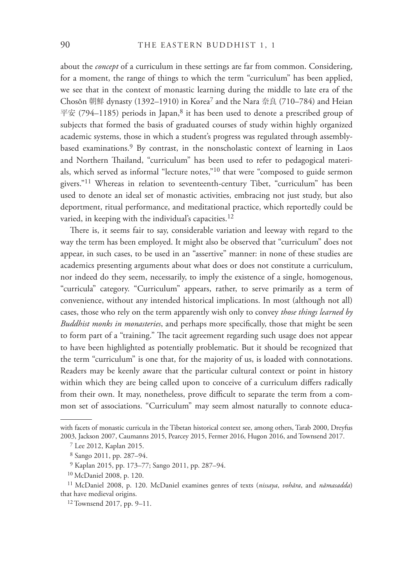about the *concept* of a curriculum in these settings are far from common. Considering, for a moment, the range of things to which the term "curriculum" has been applied, we see that in the context of monastic learning during the middle to late era of the Chosŏn 朝鮮 dynasty (1392–1910) in Korea<sup>7</sup> and the Nara 奈良 (710–784) and Heian 平安 (794–1185) periods in Japan,<sup>8</sup> it has been used to denote a prescribed group of subjects that formed the basis of graduated courses of study within highly organized academic systems, those in which a student's progress was regulated through assemblybased examinations.9 By contrast, in the nonscholastic context of learning in Laos and Northern Thailand, "curriculum" has been used to refer to pedagogical materials, which served as informal "lecture notes,"10 that were "composed to guide sermon givers."11 Whereas in relation to seventeenth-century Tibet, "curriculum" has been used to denote an ideal set of monastic activities, embracing not just study, but also deportment, ritual performance, and meditational practice, which reportedly could be varied, in keeping with the individual's capacities.<sup>12</sup>

There is, it seems fair to say, considerable variation and leeway with regard to the way the term has been employed. It might also be observed that "curriculum" does not appear, in such cases, to be used in an "assertive" manner: in none of these studies are academics presenting arguments about what does or does not constitute a curriculum, nor indeed do they seem, necessarily, to imply the existence of a single, homogenous, "curricula" category. "Curriculum" appears, rather, to serve primarily as a term of convenience, without any intended historical implications. In most (although not all) cases, those who rely on the term apparently wish only to convey *those things learned by Buddhist monks in monasteries*, and perhaps more specifically, those that might be seen to form part of a "training." The tacit agreement regarding such usage does not appear to have been highlighted as potentially problematic. But it should be recognized that the term "curriculum" is one that, for the majority of us, is loaded with connotations. Readers may be keenly aware that the particular cultural context or point in history within which they are being called upon to conceive of a curriculum differs radically from their own. It may, nonetheless, prove difficult to separate the term from a common set of associations. "Curriculum" may seem almost naturally to connote educa-

with facets of monastic curricula in the Tibetan historical context see, among others, Tarab 2000, Dreyfus 2003, Jackson 2007, Caumanns 2015, Pearcey 2015, Fermer 2016, Hugon 2016, and Townsend 2017.

<sup>7</sup> Lee 2012, Kaplan 2015.

<sup>8</sup> Sango 2011, pp. 287–94.

<sup>9</sup> Kaplan 2015, pp. 173–77; Sango 2011, pp. 287–94.

<sup>10</sup> McDaniel 2008, p. 120.

<sup>11</sup> McDaniel 2008, p. 120. McDaniel examines genres of texts (*nissaya*, *vohāra*, and *nāmasadda*) that have medieval origins.

<sup>12</sup> Townsend 2017, pp. 9–11.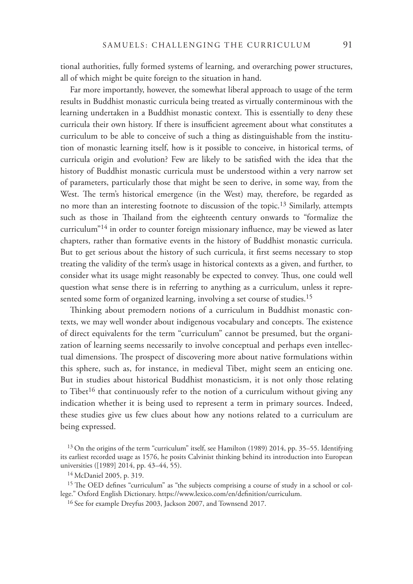tional authorities, fully formed systems of learning, and overarching power structures, all of which might be quite foreign to the situation in hand.

Far more importantly, however, the somewhat liberal approach to usage of the term results in Buddhist monastic curricula being treated as virtually conterminous with the learning undertaken in a Buddhist monastic context. This is essentially to deny these curricula their own history. If there is insufficient agreement about what constitutes a curriculum to be able to conceive of such a thing as distinguishable from the institution of monastic learning itself, how is it possible to conceive, in historical terms, of curricula origin and evolution? Few are likely to be satisfied with the idea that the history of Buddhist monastic curricula must be understood within a very narrow set of parameters, particularly those that might be seen to derive, in some way, from the West. The term's historical emergence (in the West) may, therefore, be regarded as no more than an interesting footnote to discussion of the topic.<sup>13</sup> Similarly, attempts such as those in Thailand from the eighteenth century onwards to "formalize the curriculum" $14$  in order to counter foreign missionary influence, may be viewed as later chapters, rather than formative events in the history of Buddhist monastic curricula. But to get serious about the history of such curricula, it first seems necessary to stop treating the validity of the term's usage in historical contexts as a given, and further, to consider what its usage might reasonably be expected to convey. Thus, one could well question what sense there is in referring to anything as a curriculum, unless it represented some form of organized learning, involving a set course of studies.<sup>15</sup>

Thinking about premodern notions of a curriculum in Buddhist monastic contexts, we may well wonder about indigenous vocabulary and concepts. The existence of direct equivalents for the term "curriculum" cannot be presumed, but the organization of learning seems necessarily to involve conceptual and perhaps even intellectual dimensions. The prospect of discovering more about native formulations within this sphere, such as, for instance, in medieval Tibet, might seem an enticing one. But in studies about historical Buddhist monasticism, it is not only those relating to Tibet<sup>16</sup> that continuously refer to the notion of a curriculum without giving any indication whether it is being used to represent a term in primary sources. Indeed, these studies give us few clues about how any notions related to a curriculum are being expressed.

<sup>13</sup> On the origins of the term "curriculum" itself, see Hamilton (1989) 2014, pp. 35–55. Identifying its earliest recorded usage as 1576, he posits Calvinist thinking behind its introduction into European universities ([1989] 2014, pp. 43–44, 55).

<sup>14</sup> McDaniel 2005, p. 319.

 $15$  The OED defines "curriculum" as "the subjects comprising a course of study in a school or college." Oxford English Dictionary. https://www.lexico.com/en/definition/curriculum.

<sup>16</sup> See for example Dreyfus 2003, Jackson 2007, and Townsend 2017.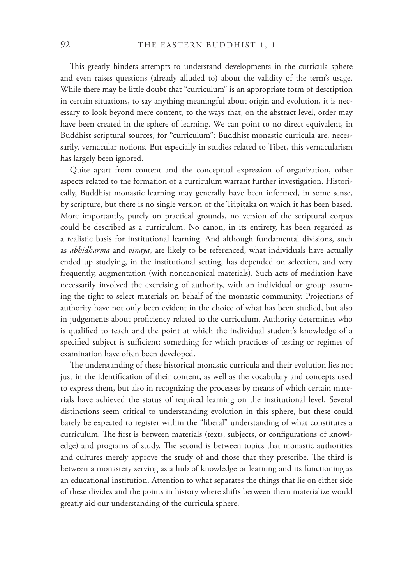This greatly hinders attempts to understand developments in the curricula sphere and even raises questions (already alluded to) about the validity of the term's usage. While there may be little doubt that "curriculum" is an appropriate form of description in certain situations, to say anything meaningful about origin and evolution, it is necessary to look beyond mere content, to the ways that, on the abstract level, order may have been created in the sphere of learning. We can point to no direct equivalent, in Buddhist scriptural sources, for "curriculum": Buddhist monastic curricula are, necessarily, vernacular notions. But especially in studies related to Tibet, this vernacularism has largely been ignored.

Quite apart from content and the conceptual expression of organization, other aspects related to the formation of a curriculum warrant further investigation. Historically, Buddhist monastic learning may generally have been informed, in some sense, by scripture, but there is no single version of the Tripiṭaka on which it has been based. More importantly, purely on practical grounds, no version of the scriptural corpus could be described as a curriculum. No canon, in its entirety, has been regarded as a realistic basis for institutional learning. And although fundamental divisions, such as *abhidharma* and *vinaya*, are likely to be referenced, what individuals have actually ended up studying, in the institutional setting, has depended on selection, and very frequently, augmentation (with noncanonical materials). Such acts of mediation have necessarily involved the exercising of authority, with an individual or group assuming the right to select materials on behalf of the monastic community. Projections of authority have not only been evident in the choice of what has been studied, but also in judgements about proficiency related to the curriculum. Authority determines who is qualified to teach and the point at which the individual student's knowledge of a specified subject is sufficient; something for which practices of testing or regimes of examination have often been developed.

The understanding of these historical monastic curricula and their evolution lies not just in the identification of their content, as well as the vocabulary and concepts used to express them, but also in recognizing the processes by means of which certain materials have achieved the status of required learning on the institutional level. Several distinctions seem critical to understanding evolution in this sphere, but these could barely be expected to register within the "liberal" understanding of what constitutes a curriculum. The first is between materials (texts, subjects, or configurations of knowledge) and programs of study. The second is between topics that monastic authorities and cultures merely approve the study of and those that they prescribe. The third is between a monastery serving as a hub of knowledge or learning and its functioning as an educational institution. Attention to what separates the things that lie on either side of these divides and the points in history where shifts between them materialize would greatly aid our understanding of the curricula sphere.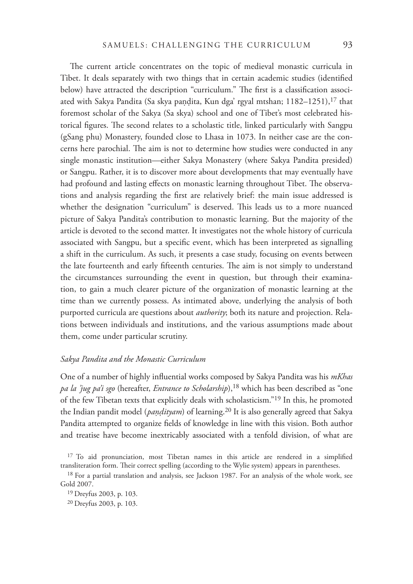The current article concentrates on the topic of medieval monastic curricula in Tibet. It deals separately with two things that in certain academic studies (identified below) have attracted the description "curriculum." The first is a classification associated with Sakya Pandita (Sa skya paṇḍita, Kun dga' rgyal mtshan; 1182–1251),<sup>17</sup> that foremost scholar of the Sakya (Sa skya) school and one of Tibet's most celebrated historical figures. The second relates to a scholastic title, linked particularly with Sangpu (gSang phu) Monastery, founded close to Lhasa in 1073. In neither case are the concerns here parochial. The aim is not to determine how studies were conducted in any single monastic institution—either Sakya Monastery (where Sakya Pandita presided) or Sangpu. Rather, it is to discover more about developments that may eventually have had profound and lasting effects on monastic learning throughout Tibet. The observations and analysis regarding the first are relatively brief: the main issue addressed is whether the designation "curriculum" is deserved. This leads us to a more nuanced picture of Sakya Pandita's contribution to monastic learning. But the majority of the article is devoted to the second matter. It investigates not the whole history of curricula associated with Sangpu, but a specific event, which has been interpreted as signalling a shift in the curriculum. As such, it presents a case study, focusing on events between the late fourteenth and early fifteenth centuries. The aim is not simply to understand the circumstances surrounding the event in question, but through their examination, to gain a much clearer picture of the organization of monastic learning at the time than we currently possess. As intimated above, underlying the analysis of both purported curricula are questions about *authority*; both its nature and projection. Relations between individuals and institutions, and the various assumptions made about them, come under particular scrutiny.

#### *Sakya Pandita and the Monastic Curriculum*

One of a number of highly influential works composed by Sakya Pandita was his *mKhas pa la 'jug pa'i sgo* (hereafter, *Entrance to Scholarship*),<sup>18</sup> which has been described as "one of the few Tibetan texts that explicitly deals with scholasticism."19 In this, he promoted the Indian pandit model (*pandityam*) of learning.<sup>20</sup> It is also generally agreed that Sakya Pandita attempted to organize fields of knowledge in line with this vision. Both author and treatise have become inextricably associated with a tenfold division, of what are

 $17$  To aid pronunciation, most Tibetan names in this article are rendered in a simplified transliteration form. Their correct spelling (according to the Wylie system) appears in parentheses.

<sup>18</sup> For a partial translation and analysis, see Jackson 1987. For an analysis of the whole work, see Gold 2007.

19 Dreyfus 2003, p. 103.

20 Dreyfus 2003, p. 103.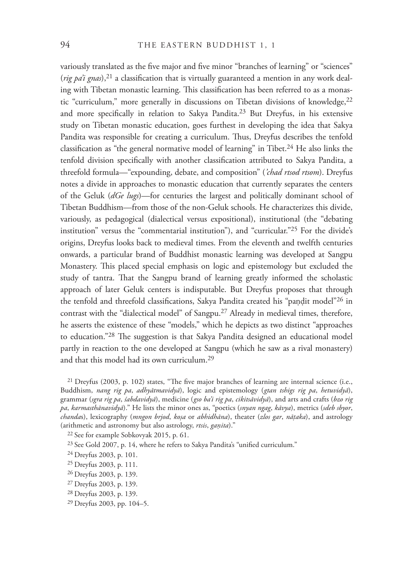variously translated as the five major and five minor "branches of learning" or "sciences" (*rig pa'i gnas*),<sup>21</sup> a classification that is virtually guaranteed a mention in any work dealing with Tibetan monastic learning. This classification has been referred to as a monastic "curriculum," more generally in discussions on Tibetan divisions of knowledge, 22 and more specifically in relation to Sakya Pandita.<sup>23</sup> But Dreyfus, in his extensive study on Tibetan monastic education, goes furthest in developing the idea that Sakya Pandita was responsible for creating a curriculum. Thus, Dreyfus describes the tenfold classification as "the general normative model of learning" in Tibet.<sup>24</sup> He also links the tenfold division specifically with another classification attributed to Sakya Pandita, a threefold formula—"expounding, debate, and composition" (*'chad rtsod rtsom*). Dreyfus notes a divide in approaches to monastic education that currently separates the centers of the Geluk (*dGe lugs*)—for centuries the largest and politically dominant school of Tibetan Buddhism—from those of the non-Geluk schools. He characterizes this divide, variously, as pedagogical (dialectical versus expositional), institutional (the "debating institution" versus the "commentarial institution"), and "curricular."25 For the divide's origins, Dreyfus looks back to medieval times. From the eleventh and twelfth centuries onwards, a particular brand of Buddhist monastic learning was developed at Sangpu Monastery. This placed special emphasis on logic and epistemology but excluded the study of tantra. That the Sangpu brand of learning greatly informed the scholastic approach of later Geluk centers is indisputable. But Dreyfus proposes that through the tenfold and threefold classifications, Sakya Pandita created his "pandit model"<sup>26</sup> in contrast with the "dialectical model" of Sangpu.27 Already in medieval times, therefore, he asserts the existence of these "models," which he depicts as two distinct "approaches to education."<sup>28</sup> The suggestion is that Sakya Pandita designed an educational model partly in reaction to the one developed at Sangpu (which he saw as a rival monastery) and that this model had its own curriculum.29

 $21$  Dreyfus (2003, p. 102) states, "The five major branches of learning are internal science (i.e., Buddhism, *nang rig pa*, *adhyātmavidyā*), logic and epistemology (*gtan tshigs rig pa*, *hetuvidyā*), grammar (*sgra rig pa*, *śabdavidyā*), medicine (*gso ba'i rig pa*, *cikitsāvidyā*), and arts and crafts (*bzo rig pa*, *karmasthānavidyā*)." He lists the minor ones as, "poetics (*snyan ngag*, *kāvya*), metrics (*sdeb sbyor*, *chanda*s), lexicography (*mngon brjod*, *koṣa* or *abhidhāna*), theater (*zlos gar*, *nāΑaka*), and astrology (arithmetic and astronomy but also astrology, *rtsis*, *ganita*)."

22 See for example Sobkovyak 2015, p. 61.

 $23$  See Gold 2007, p. 14, where he refers to Sakya Pandita's "unified curriculum."

- 26 Dreyfus 2003, p. 139.
- 27 Dreyfus 2003, p. 139.
- 28 Dreyfus 2003, p. 139.
- 29 Dreyfus 2003, pp. 104–5.

<sup>24</sup> Dreyfus 2003, p. 101.

<sup>25</sup> Dreyfus 2003, p. 111.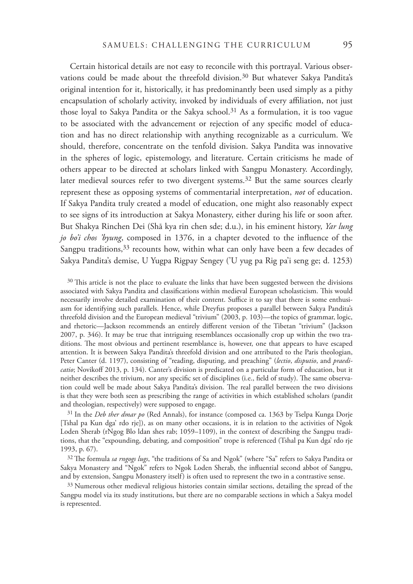Certain historical details are not easy to reconcile with this portrayal. Various observations could be made about the threefold division.<sup>30</sup> But whatever Sakya Pandita's original intention for it, historically, it has predominantly been used simply as a pithy encapsulation of scholarly activity, invoked by individuals of every affiliation, not just those loyal to Sakya Pandita or the Sakya school.<sup>31</sup> As a formulation, it is too vague to be associated with the advancement or rejection of any specific model of education and has no direct relationship with anything recognizable as a curriculum. We should, therefore, concentrate on the tenfold division. Sakya Pandita was innovative in the spheres of logic, epistemology, and literature. Certain criticisms he made of others appear to be directed at scholars linked with Sangpu Monastery. Accordingly, later medieval sources refer to two divergent systems.32 But the same sources clearly represent these as opposing systems of commentarial interpretation, *not* of education. If Sakya Pandita truly created a model of education, one might also reasonably expect to see signs of its introduction at Sakya Monastery, either during his life or soon after. But Shakya Rinchen Dei (Shā kya rin chen sde; d.u.), in his eminent history, *Yar lung jo bo'i chos 'byung*, composed in 1376, in a chapter devoted to the influence of the Sangpu traditions,  $33$  recounts how, within what can only have been a few decades of Sakya Pandita's demise, U Yugpa Rigpay Sengey ('U yug pa Rig pa'i seng ge; d. 1253)

 $30$  This article is not the place to evaluate the links that have been suggested between the divisions associated with Sakya Pandita and classifications within medieval European scholasticism. This would necessarily involve detailed examination of their content. Suffice it to say that there is some enthusiasm for identifying such parallels. Hence, while Dreyfus proposes a parallel between Sakya Pandita's threefold division and the European medieval "trivium" (2003, p. 103)—the topics of grammar, logic, and rhetoric—Jackson recommends an entirely different version of the Tibetan "trivium" (Jackson 2007, p. 346). It may be true that intriguing resemblances occasionally crop up within the two traditions. The most obvious and pertinent resemblance is, however, one that appears to have escaped attention. It is between Sakya Pandita's threefold division and one attributed to the Paris theologian, Peter Canter (d. 1197), consisting of "reading, disputing, and preaching" (*lectio*, *disputio*, and *praedicatio*; Novikoff 2013, p. 134). Canter's division is predicated on a particular form of education, but it neither describes the trivium, nor any specific set of disciplines (i.e., field of study). The same observation could well be made about Sakya Pandita's division. The real parallel between the two divisions is that they were both seen as prescribing the range of activities in which established scholars (pandit and theologian, respectively) were supposed to engage.

31 In the *Deb ther dmar po* (Red Annals), for instance (composed ca. 1363 by Tselpa Kunga Dorje [Tshal pa Kun dga' rdo rje]), as on many other occasions, it is in relation to the activities of Ngok Loden Sherab (rNgog Blo ldan shes rab; 1059–1109), in the context of describing the Sangpu traditions, that the "expounding, debating, and composition" trope is referenced (Tshal pa Kun dga' rdo rje 1993, p. 67).

<sup>32</sup> The formula *sa rngogs lugs*, "the traditions of Sa and Ngok" (where "Sa" refers to Sakya Pandita or Sakya Monastery and "Ngok" refers to Ngok Loden Sherab, the influential second abbot of Sangpu, and by extension, Sangpu Monastery itself) is often used to represent the two in a contrastive sense.

<sup>33</sup> Numerous other medieval religious histories contain similar sections, detailing the spread of the Sangpu model via its study institutions, but there are no comparable sections in which a Sakya model is represented.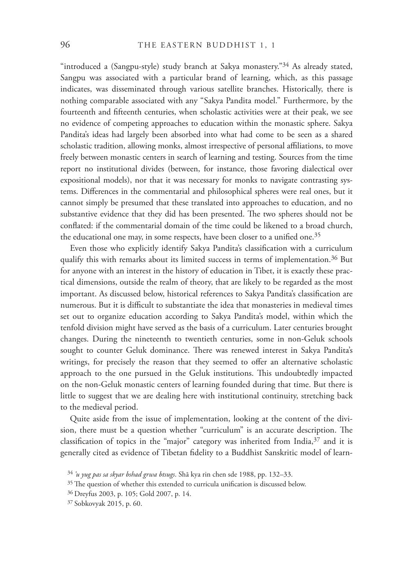"introduced a (Sangpu-style) study branch at Sakya monastery."34 As already stated, Sangpu was associated with a particular brand of learning, which, as this passage indicates, was disseminated through various satellite branches. Historically, there is nothing comparable associated with any "Sakya Pandita model." Furthermore, by the fourteenth and fifteenth centuries, when scholastic activities were at their peak, we see no evidence of competing approaches to education within the monastic sphere. Sakya Pandita's ideas had largely been absorbed into what had come to be seen as a shared scholastic tradition, allowing monks, almost irrespective of personal affiliations, to move freely between monastic centers in search of learning and testing. Sources from the time report no institutional divides (between, for instance, those favoring dialectical over expositional models), nor that it was necessary for monks to navigate contrasting systems. Differences in the commentarial and philosophical spheres were real ones, but it cannot simply be presumed that these translated into approaches to education, and no substantive evidence that they did has been presented. The two spheres should not be conflated: if the commentarial domain of the time could be likened to a broad church, the educational one may, in some respects, have been closer to a unified one.<sup>35</sup>

Even those who explicitly identify Sakya Pandita's classification with a curriculum qualify this with remarks about its limited success in terms of implementation.<sup>36</sup> But for anyone with an interest in the history of education in Tibet, it is exactly these practical dimensions, outside the realm of theory, that are likely to be regarded as the most important. As discussed below, historical references to Sakya Pandita's classification are numerous. But it is difficult to substantiate the idea that monasteries in medieval times set out to organize education according to Sakya Pandita's model, within which the tenfold division might have served as the basis of a curriculum. Later centuries brought changes. During the nineteenth to twentieth centuries, some in non-Geluk schools sought to counter Geluk dominance. There was renewed interest in Sakya Pandita's writings, for precisely the reason that they seemed to offer an alternative scholastic approach to the one pursued in the Geluk institutions. This undoubtedly impacted on the non-Geluk monastic centers of learning founded during that time. But there is little to suggest that we are dealing here with institutional continuity, stretching back to the medieval period.

Quite aside from the issue of implementation, looking at the content of the division, there must be a question whether "curriculum" is an accurate description. The classification of topics in the "major" category was inherited from India, $37$  and it is generally cited as evidence of Tibetan fidelity to a Buddhist Sanskritic model of learn-

<sup>34</sup>*'u yug pas sa skyar bshad grwa btsugs*. Shā kya rin chen sde 1988, pp. 132–33.

 $35$  The question of whether this extended to curricula unification is discussed below.

<sup>36</sup> Dreyfus 2003, p. 105; Gold 2007, p. 14.

<sup>37</sup> Sobkovyak 2015, p. 60.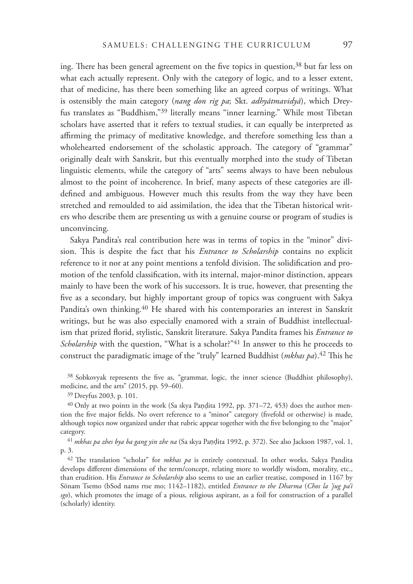ing. There has been general agreement on the five topics in question, $38$  but far less on what each actually represent. Only with the category of logic, and to a lesser extent, that of medicine, has there been something like an agreed corpus of writings. What is ostensibly the main category (*nang don rig pa*; Skt. *adhyātmavidyā*), which Dreyfus translates as "Buddhism,"39 literally means "inner learning." While most Tibetan scholars have asserted that it refers to textual studies, it can equally be interpreted as affirming the primacy of meditative knowledge, and therefore something less than a wholehearted endorsement of the scholastic approach. The category of "grammar" originally dealt with Sanskrit, but this eventually morphed into the study of Tibetan linguistic elements, while the category of "arts" seems always to have been nebulous almost to the point of incoherence. In brief, many aspects of these categories are illdefined and ambiguous. However much this results from the way they have been stretched and remoulded to aid assimilation, the idea that the Tibetan historical writers who describe them are presenting us with a genuine course or program of studies is unconvincing.

Sakya Pandita's real contribution here was in terms of topics in the "minor" division. This is despite the fact that his *Entrance to Scholarship* contains no explicit reference to it nor at any point mentions a tenfold division. The solidification and promotion of the tenfold classification, with its internal, major-minor distinction, appears mainly to have been the work of his successors. It is true, however, that presenting the five as a secondary, but highly important group of topics was congruent with Sakya Pandita's own thinking.<sup>40</sup> He shared with his contemporaries an interest in Sanskrit writings, but he was also especially enamored with a strain of Buddhist intellectualism that prized florid, stylistic, Sanskrit literature. Sakya Pandita frames his *Entrance to Scholarship* with the question, "What is a scholar?"<sup>41</sup> In answer to this he proceeds to construct the paradigmatic image of the "truly" learned Buddhist (*mkhas pa*).<sup>42</sup> This he

38 Sobkovyak represents the five as, "grammar, logic, the inner science (Buddhist philosophy), medicine, and the arts" (2015, pp. 59–60).

39 Dreyfus 2003, p. 101.

 $40$  Only at two points in the work (Sa skya Pandita 1992, pp. 371–72, 453) does the author mention the five major fields. No overt reference to a "minor" category (fivefold or otherwise) is made, although topics now organized under that rubric appear together with the five belonging to the "major" category.

<sup>41</sup> mkhas pa zhes bya ba gang yin zhe na (Sa skya Paṇḍita 1992, p. 372). See also Jackson 1987, vol. 1, p. 3.

<sup>42</sup> The translation "scholar" for *mkhas pa* is entirely contextual. In other works, Sakya Pandita develops different dimensions of the term/concept, relating more to worldly wisdom, morality, etc., than erudition. His *Entrance to Scholarship* also seems to use an earlier treatise, composed in 1167 by Sönam Tsemo (bSod nams rtse mo; 1142–1182), entitled *Entrance to the Dharma* (*Chos la 'jug pa'i sgo*), which promotes the image of a pious, religious aspirant, as a foil for construction of a parallel (scholarly) identity.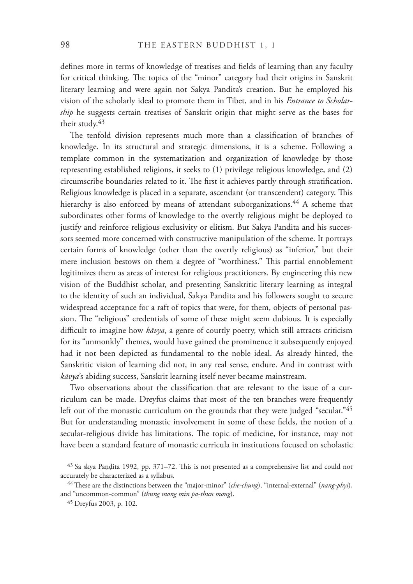defines more in terms of knowledge of treatises and fields of learning than any faculty for critical thinking. The topics of the "minor" category had their origins in Sanskrit literary learning and were again not Sakya Pandita's creation. But he employed his vision of the scholarly ideal to promote them in Tibet, and in his *Entrance to Scholarship* he suggests certain treatises of Sanskrit origin that might serve as the bases for their study.<sup>43</sup>

The tenfold division represents much more than a classification of branches of knowledge. In its structural and strategic dimensions, it is a scheme. Following a template common in the systematization and organization of knowledge by those representing established religions, it seeks to (1) privilege religious knowledge, and (2) circumscribe boundaries related to it. The first it achieves partly through stratification. Religious knowledge is placed in a separate, ascendant (or transcendent) category. This hierarchy is also enforced by means of attendant suborganizations.<sup>44</sup> A scheme that subordinates other forms of knowledge to the overtly religious might be deployed to justify and reinforce religious exclusivity or elitism. But Sakya Pandita and his successors seemed more concerned with constructive manipulation of the scheme. It portrays certain forms of knowledge (other than the overtly religious) as "inferior," but their mere inclusion bestows on them a degree of "worthiness." This partial ennoblement legitimizes them as areas of interest for religious practitioners. By engineering this new vision of the Buddhist scholar, and presenting Sanskritic literary learning as integral to the identity of such an individual, Sakya Pandita and his followers sought to secure widespread acceptance for a raft of topics that were, for them, objects of personal passion. The "religious" credentials of some of these might seem dubious. It is especially difficult to imagine how *kāvya*, a genre of courtly poetry, which still attracts criticism for its "unmonkly" themes, would have gained the prominence it subsequently enjoyed had it not been depicted as fundamental to the noble ideal. As already hinted, the Sanskritic vision of learning did not, in any real sense, endure. And in contrast with *kāvya*'s abiding success, Sanskrit learning itself never became mainstream.

Two observations about the classification that are relevant to the issue of a curriculum can be made. Dreyfus claims that most of the ten branches were frequently left out of the monastic curriculum on the grounds that they were judged "secular."45 But for understanding monastic involvement in some of these fields, the notion of a secular-religious divide has limitations. The topic of medicine, for instance, may not have been a standard feature of monastic curricula in institutions focused on scholastic

 $43$  Sa skya Pandita 1992, pp. 371–72. This is not presented as a comprehensive list and could not accurately be characterized as a syllabus.

<sup>&</sup>lt;sup>44</sup> These are the distinctions between the "major-minor" (*che-chung*), "internal-external" (*nang-phyi*), and "uncommon-common" (*thung mong min pa-thun mong*).

<sup>45</sup> Dreyfus 2003, p. 102.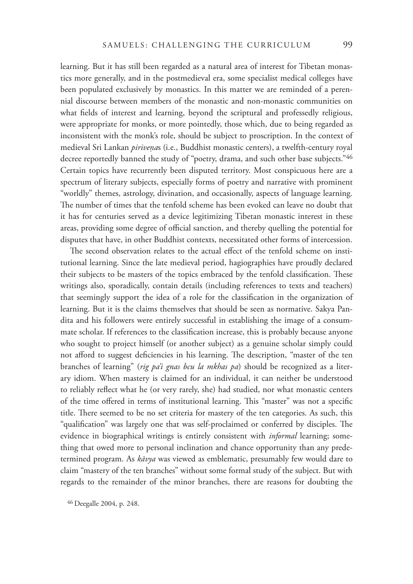learning. But it has still been regarded as a natural area of interest for Tibetan monastics more generally, and in the postmedieval era, some specialist medical colleges have been populated exclusively by monastics. In this matter we are reminded of a perennial discourse between members of the monastic and non-monastic communities on what fields of interest and learning, beyond the scriptural and professedly religious, were appropriate for monks, or more pointedly, those which, due to being regarded as inconsistent with the monk's role, should be subject to proscription. In the context of medieval Sri Lankan *pirivenas* (i.e., Buddhist monastic centers), a twelfth-century royal decree reportedly banned the study of "poetry, drama, and such other base subjects."46 Certain topics have recurrently been disputed territory. Most conspicuous here are a spectrum of literary subjects, especially forms of poetry and narrative with prominent "worldly" themes, astrology, divination, and occasionally, aspects of language learning. The number of times that the tenfold scheme has been evoked can leave no doubt that it has for centuries served as a device legitimizing Tibetan monastic interest in these areas, providing some degree of official sanction, and thereby quelling the potential for disputes that have, in other Buddhist contexts, necessitated other forms of intercession.

The second observation relates to the actual effect of the tenfold scheme on institutional learning. Since the late medieval period, hagiographies have proudly declared their subjects to be masters of the topics embraced by the tenfold classification. These writings also, sporadically, contain details (including references to texts and teachers) that seemingly support the idea of a role for the classification in the organization of learning. But it is the claims themselves that should be seen as normative. Sakya Pandita and his followers were entirely successful in establishing the image of a consummate scholar. If references to the classification increase, this is probably because anyone who sought to project himself (or another subject) as a genuine scholar simply could not afford to suggest deficiencies in his learning. The description, "master of the ten branches of learning" (*rig pa'i gnas bcu la mkhas pa*) should be recognized as a literary idiom. When mastery is claimed for an individual, it can neither be understood to reliably reflect what he (or very rarely, she) had studied, nor what monastic centers of the time offered in terms of institutional learning. This "master" was not a specific title. There seemed to be no set criteria for mastery of the ten categories. As such, this "qualification" was largely one that was self-proclaimed or conferred by disciples. The evidence in biographical writings is entirely consistent with *informal* learning; something that owed more to personal inclination and chance opportunity than any predetermined program. As *kāvya* was viewed as emblematic, presumably few would dare to claim "mastery of the ten branches" without some formal study of the subject. But with regards to the remainder of the minor branches, there are reasons for doubting the

46 Deegalle 2004, p. 248.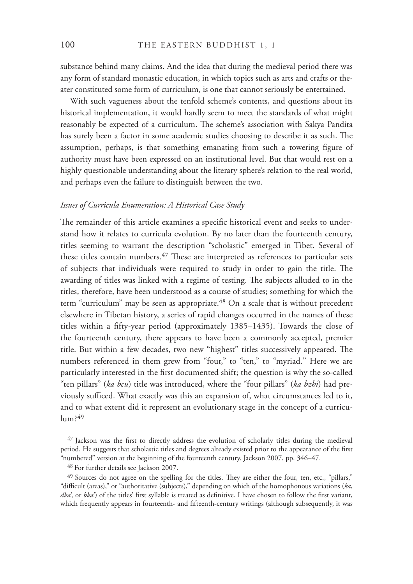substance behind many claims. And the idea that during the medieval period there was any form of standard monastic education, in which topics such as arts and crafts or theater constituted some form of curriculum, is one that cannot seriously be entertained.

With such vagueness about the tenfold scheme's contents, and questions about its historical implementation, it would hardly seem to meet the standards of what might reasonably be expected of a curriculum. The scheme's association with Sakya Pandita has surely been a factor in some academic studies choosing to describe it as such. The assumption, perhaps, is that something emanating from such a towering figure of authority must have been expressed on an institutional level. But that would rest on a highly questionable understanding about the literary sphere's relation to the real world, and perhaps even the failure to distinguish between the two.

# *Issues of Curricula Enumeration: A Historical Case Study*

The remainder of this article examines a specific historical event and seeks to understand how it relates to curricula evolution. By no later than the fourteenth century, titles seeming to warrant the description "scholastic" emerged in Tibet. Several of these titles contain numbers.<sup>47</sup> These are interpreted as references to particular sets of subjects that individuals were required to study in order to gain the title. The awarding of titles was linked with a regime of testing. The subjects alluded to in the titles, therefore, have been understood as a course of studies; something for which the term "curriculum" may be seen as appropriate.<sup>48</sup> On a scale that is without precedent elsewhere in Tibetan history, a series of rapid changes occurred in the names of these titles within a fifty-year period (approximately 1385–1435). Towards the close of the fourteenth century, there appears to have been a commonly accepted, premier title. But within a few decades, two new "highest" titles successively appeared. The numbers referenced in them grew from "four," to "ten," to "myriad." Here we are particularly interested in the first documented shift; the question is why the so-called "ten pillars" (*ka bcu*) title was introduced, where the "four pillars" (*ka bzhi*) had previously sufficed. What exactly was this an expansion of, what circumstances led to it, and to what extent did it represent an evolutionary stage in the concept of a curriculum?49

<sup>&</sup>lt;sup>47</sup> Jackson was the first to directly address the evolution of scholarly titles during the medieval period. He suggests that scholastic titles and degrees already existed prior to the appearance of the first "numbered" version at the beginning of the fourteenth century. Jackson 2007, pp. 346–47.

<sup>48</sup> For further details see Jackson 2007.

<sup>&</sup>lt;sup>49</sup> Sources do not agree on the spelling for the titles. They are either the four, ten, etc., "pillars," "difficult (areas)," or "authoritative (subjects)," depending on which of the homophonous variations (ka, *dka*', or *bka*') of the titles' first syllable is treated as definitive. I have chosen to follow the first variant, which frequently appears in fourteenth- and fifteenth-century writings (although subsequently, it was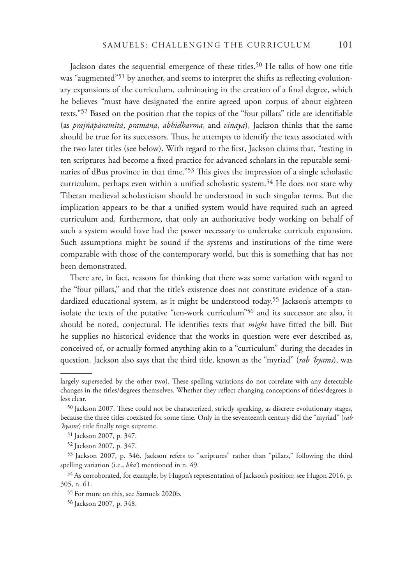Jackson dates the sequential emergence of these titles.<sup>50</sup> He talks of how one title was "augmented"<sup>51</sup> by another, and seems to interpret the shifts as reflecting evolutionary expansions of the curriculum, culminating in the creation of a final degree, which he believes "must have designated the entire agreed upon corpus of about eighteen texts."<sup>52</sup> Based on the position that the topics of the "four pillars" title are identifiable (as *prajñāpāramitā*, *pramānǷa*, *abhidharma*, and *vinaya*), Jackson thinks that the same should be true for its successors. Thus, he attempts to identify the texts associated with the two later titles (see below). With regard to the first, Jackson claims that, "testing in ten scriptures had become a fixed practice for advanced scholars in the reputable seminaries of dBus province in that time."<sup>53</sup> This gives the impression of a single scholastic curriculum, perhaps even within a unified scholastic system.<sup>54</sup> He does not state why Tibetan medieval scholasticism should be understood in such singular terms. But the implication appears to be that a unified system would have required such an agreed curriculum and, furthermore, that only an authoritative body working on behalf of such a system would have had the power necessary to undertake curricula expansion. Such assumptions might be sound if the systems and institutions of the time were comparable with those of the contemporary world, but this is something that has not been demonstrated.

There are, in fact, reasons for thinking that there was some variation with regard to the "four pillars," and that the title's existence does not constitute evidence of a standardized educational system, as it might be understood today.<sup>55</sup> Jackson's attempts to isolate the texts of the putative "ten-work curriculum"56 and its successor are also, it should be noted, conjectural. He identifies texts that *might* have fitted the bill. But he supplies no historical evidence that the works in question were ever described as, conceived of, or actually formed anything akin to a "curriculum" during the decades in question. Jackson also says that the third title, known as the "myriad" (*rab 'byams*), was

largely superseded by the other two). These spelling variations do not correlate with any detectable changes in the titles/degrees themselves. Whether they reflect changing conceptions of titles/degrees is less clear.

 $50$  Jackson 2007. These could not be characterized, strictly speaking, as discrete evolutionary stages, because the three titles coexisted for some time. Only in the seventeenth century did the "myriad" (*rab*  'byams) title finally reign supreme.

<sup>51</sup> Jackson 2007, p. 347.

<sup>52</sup> Jackson 2007, p. 347.

<sup>53</sup> Jackson 2007, p. 346. Jackson refers to "scriptures" rather than "pillars," following the third spelling variation (i.e., *bka'*) mentioned in n. 49.

<sup>54</sup> As corroborated, for example, by Hugon's representation of Jackson's position; see Hugon 2016, p. 305, n. 61.

<sup>55</sup> For more on this, see Samuels 2020b.

<sup>56</sup> Jackson 2007, p. 348.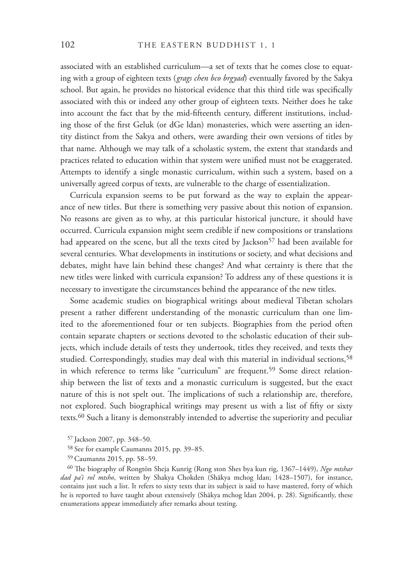associated with an established curriculum—a set of texts that he comes close to equating with a group of eighteen texts ( *grags chen bco brgyad*) eventually favored by the Sakya school. But again, he provides no historical evidence that this third title was specifically associated with this or indeed any other group of eighteen texts. Neither does he take into account the fact that by the mid-fifteenth century, different institutions, including those of the first Geluk (or dGe ldan) monasteries, which were asserting an identity distinct from the Sakya and others, were awarding their own versions of titles by that name. Although we may talk of a scholastic system, the extent that standards and practices related to education within that system were unified must not be exaggerated. Attempts to identify a single monastic curriculum, within such a system, based on a universally agreed corpus of texts, are vulnerable to the charge of essentialization.

Curricula expansion seems to be put forward as the way to explain the appearance of new titles. But there is something very passive about this notion of expansion. No reasons are given as to why, at this particular historical juncture, it should have occurred. Curricula expansion might seem credible if new compositions or translations had appeared on the scene, but all the texts cited by Jackson<sup>57</sup> had been available for several centuries. What developments in institutions or society, and what decisions and debates, might have lain behind these changes? And what certainty is there that the new titles were linked with curricula expansion? To address any of these questions it is necessary to investigate the circumstances behind the appearance of the new titles.

Some academic studies on biographical writings about medieval Tibetan scholars present a rather different understanding of the monastic curriculum than one limited to the aforementioned four or ten subjects. Biographies from the period often contain separate chapters or sections devoted to the scholastic education of their subjects, which include details of tests they undertook, titles they received, and texts they studied. Correspondingly, studies may deal with this material in individual sections,<sup>58</sup> in which reference to terms like "curriculum" are frequent.<sup>59</sup> Some direct relationship between the list of texts and a monastic curriculum is suggested, but the exact nature of this is not spelt out. The implications of such a relationship are, therefore, not explored. Such biographical writings may present us with a list of fifty or sixty texts.60 Such a litany is demonstrably intended to advertise the superiority and peculiar

<sup>60</sup> The biography of Rongtön Sheja Kunrig (Rong ston Shes bya kun rig, 1367–1449), *Ngo mtshar dad pa'i rol mtsho*, written by Shakya Chokden (Shākya mchog ldan; 1428–1507), for instance, contains just such a list. It refers to sixty texts that its subject is said to have mastered, forty of which he is reported to have taught about extensively (Shākya mchog ldan 2004, p. 28). Significantly, these enumerations appear immediately after remarks about testing.

<sup>57</sup> Jackson 2007, pp. 348–50.

<sup>58</sup> See for example Caumanns 2015, pp. 39–85.

<sup>59</sup> Caumanns 2015, pp. 58–59.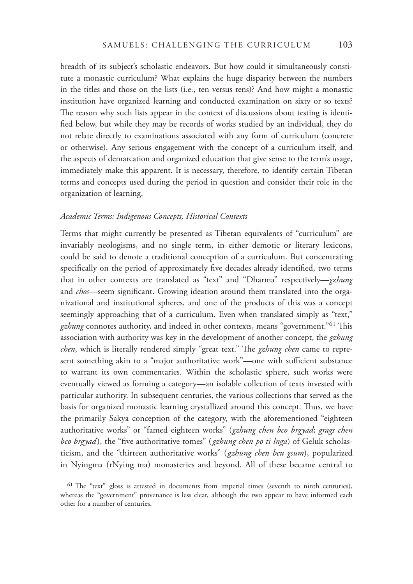breadth of its subject's scholastic endeavors. But how could it simultaneously constitute a monastic curriculum? What explains the huge disparity between the numbers in the titles and those on the lists (i.e., ten versus tens)? And how might a monastic institution have organized learning and conducted examination on sixty or so texts? The reason why such lists appear in the context of discussions about testing is identified below, but while they may be records of works studied by an individual, they do not relate directly to examinations associated with any form of curriculum (concrete or otherwise). Any serious engagement with the concept of a curriculum itself, and the aspects of demarcation and organized education that give sense to the term's usage, immediately make this apparent. It is necessary, therefore, to identify certain Tibetan terms and concepts used during the period in question and consider their role in the organization of learning.

# *Academic Terms: Indigenous Concepts, Historical Contexts*

Terms that might currently be presented as Tibetan equivalents of "curriculum" are invariably neologisms, and no single term, in either demotic or literary lexicons, could be said to denote a traditional conception of a curriculum. But concentrating specifically on the period of approximately five decades already identified, two terms that in other contexts are translated as "text" and "Dharma" respectively—*gzhung*  and *chos*—seem significant. Growing ideation around them translated into the organizational and institutional spheres, and one of the products of this was a concept seemingly approaching that of a curriculum. Even when translated simply as "text," gzhung connotes authority, and indeed in other contexts, means "government."<sup>61</sup> This association with authority was key in the development of another concept, the *gzhung chen*, which is literally rendered simply "great text." The *gzhung chen* came to represent something akin to a "major authoritative work"—one with sufficient substance to warrant its own commentaries. Within the scholastic sphere, such works were eventually viewed as forming a category—an isolable collection of texts invested with particular authority. In subsequent centuries, the various collections that served as the basis for organized monastic learning crystallized around this concept. Thus, we have the primarily Sakya conception of the category, with the aforementioned "eighteen authoritative works" or "famed eighteen works" (*gzhung chen bco brgyad*; *grags chen bco brgyad*), the "five authoritative tomes" (*gzhung chen po ti lnga*) of Geluk scholasticism, and the "thirteen authoritative works" ( *gzhung chen bcu gsum*), popularized in Nyingma (rNying ma) monasteries and beyond. All of these became central to

 $61$  The "text" gloss is attested in documents from imperial times (seventh to ninth centuries), whereas the "government" provenance is less clear, although the two appear to have informed each other for a number of centuries.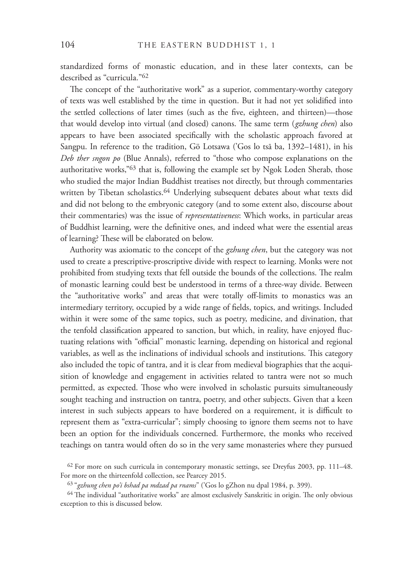standardized forms of monastic education, and in these later contexts, can be described as "curricula."62

The concept of the "authoritative work" as a superior, commentary-worthy category of texts was well established by the time in question. But it had not yet solidified into the settled collections of later times (such as the five, eighteen, and thirteen)—those that would develop into virtual (and closed) canons. The same term (*gzhung chen*) also appears to have been associated specifically with the scholastic approach favored at Sangpu. In reference to the tradition, Gö Lotsawa ('Gos lo tsā ba, 1392–1481), in his *Deb ther sngon po* (Blue Annals), referred to "those who compose explanations on the authoritative works,"<sup>63</sup> that is, following the example set by Ngok Loden Sherab, those who studied the major Indian Buddhist treatises not directly, but through commentaries written by Tibetan scholastics.<sup>64</sup> Underlying subsequent debates about what texts did and did not belong to the embryonic category (and to some extent also, discourse about their commentaries) was the issue of *representativeness*: Which works, in particular areas of Buddhist learning, were the definitive ones, and indeed what were the essential areas of learning? These will be elaborated on below.

Authority was axiomatic to the concept of the *gzhung chen*, but the category was not used to create a prescriptive-proscriptive divide with respect to learning. Monks were not prohibited from studying texts that fell outside the bounds of the collections. The realm of monastic learning could best be understood in terms of a three-way divide. Between the "authoritative works" and areas that were totally off-limits to monastics was an intermediary territory, occupied by a wide range of fields, topics, and writings. Included within it were some of the same topics, such as poetry, medicine, and divination, that the tenfold classification appeared to sanction, but which, in reality, have enjoyed fluctuating relations with "official" monastic learning, depending on historical and regional variables, as well as the inclinations of individual schools and institutions. This category also included the topic of tantra, and it is clear from medieval biographies that the acquisition of knowledge and engagement in activities related to tantra were not so much permitted, as expected. Those who were involved in scholastic pursuits simultaneously sought teaching and instruction on tantra, poetry, and other subjects. Given that a keen interest in such subjects appears to have bordered on a requirement, it is difficult to represent them as "extra-curricular"; simply choosing to ignore them seems not to have been an option for the individuals concerned. Furthermore, the monks who received teachings on tantra would often do so in the very same monasteries where they pursued

<sup>62</sup> For more on such curricula in contemporary monastic settings, see Dreyfus 2003, pp. 111–48. For more on the thirteenfold collection, see Pearcey 2015.

<sup>63 &</sup>quot;*gzhung chen po'i bshad pa mdzad pa rnams*" ('Gos lo gZhon nu dpal 1984, p. 399).

 $64$  The individual "authoritative works" are almost exclusively Sanskritic in origin. The only obvious exception to this is discussed below.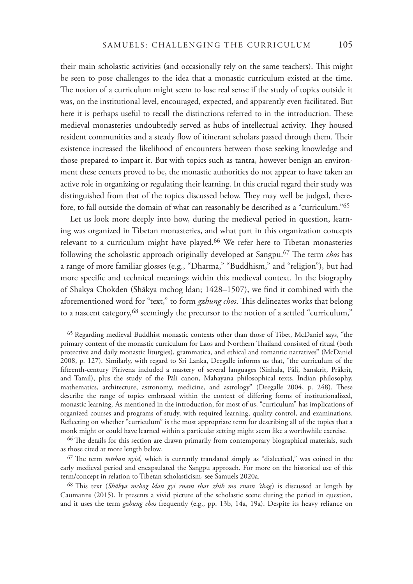their main scholastic activities (and occasionally rely on the same teachers). This might be seen to pose challenges to the idea that a monastic curriculum existed at the time. The notion of a curriculum might seem to lose real sense if the study of topics outside it was, on the institutional level, encouraged, expected, and apparently even facilitated. But here it is perhaps useful to recall the distinctions referred to in the introduction. These medieval monasteries undoubtedly served as hubs of intellectual activity. They housed resident communities and a steady flow of itinerant scholars passed through them. Their existence increased the likelihood of encounters between those seeking knowledge and those prepared to impart it. But with topics such as tantra, however benign an environment these centers proved to be, the monastic authorities do not appear to have taken an active role in organizing or regulating their learning. In this crucial regard their study was distinguished from that of the topics discussed below. They may well be judged, therefore, to fall outside the domain of what can reasonably be described as a "curriculum."65

Let us look more deeply into how, during the medieval period in question, learning was organized in Tibetan monasteries, and what part in this organization concepts relevant to a curriculum might have played.66 We refer here to Tibetan monasteries following the scholastic approach originally developed at Sangpu.<sup>67</sup> The term *chos* has a range of more familiar glosses (e.g., "Dharma," "Buddhism," and "religion"), but had more specific and technical meanings within this medieval context. In the biography of Shakya Chokden (Shākya mchog ldan; 1428-1507), we find it combined with the aforementioned word for "text," to form *gzhung chos*. This delineates works that belong to a nascent category,<sup>68</sup> seemingly the precursor to the notion of a settled "curriculum,"

<sup>66</sup> The details for this section are drawn primarily from contemporary biographical materials, such as those cited at more length below.

<sup>67</sup> The term *mtshan nyid*, which is currently translated simply as "dialectical," was coined in the early medieval period and encapsulated the Sangpu approach. For more on the historical use of this term/concept in relation to Tibetan scholasticism, see Samuels 2020a.

<sup>68</sup>!is text (*Shākya mchog ldan gyi rnam thar zhib mo rnam 'thag*) is discussed at length by Caumanns (2015). It presents a vivid picture of the scholastic scene during the period in question, and it uses the term *gzhung chos* frequently (e.g., pp. 13b, 14a, 19a). Despite its heavy reliance on

<sup>65</sup> Regarding medieval Buddhist monastic contexts other than those of Tibet, McDaniel says, "the primary content of the monastic curriculum for Laos and Northern Thailand consisted of ritual (both protective and daily monastic liturgies), grammatica, and ethical and romantic narratives" (McDaniel 2008, p. 127). Similarly, with regard to Sri Lanka, Deegalle informs us that, "the curriculum of the fifteenth-century Pirivena included a mastery of several languages (Sinhala, Pāli, Sanskrit, Prākrit, and Tamil), plus the study of the Pāli canon, Mahayana philosophical texts, Indian philosophy, mathematics, architecture, astronomy, medicine, and astrology" (Deegalle 2004, p. 248). These describe the range of topics embraced within the context of differing forms of institutionalized, monastic learning. As mentioned in the introduction, for most of us, "curriculum" has implications of organized courses and programs of study, with required learning, quality control, and examinations. Reflecting on whether "curriculum" is the most appropriate term for describing all of the topics that a monk might or could have learned within a particular setting might seem like a worthwhile exercise.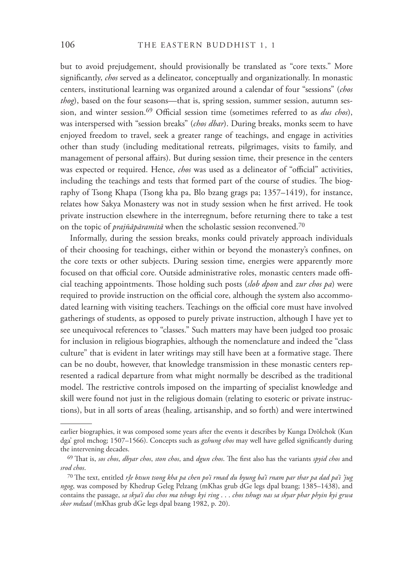but to avoid prejudgement, should provisionally be translated as "core texts." More significantly, *chos* served as a delineator, conceptually and organizationally. In monastic centers, institutional learning was organized around a calendar of four "sessions" (*chos thog*), based on the four seasons—that is, spring session, summer session, autumn session, and winter session.<sup>69</sup> Official session time (sometimes referred to as *dus chos*), was interspersed with "session breaks" (*chos dbar*). During breaks, monks seem to have enjoyed freedom to travel, seek a greater range of teachings, and engage in activities other than study (including meditational retreats, pilgrimages, visits to family, and management of personal affairs). But during session time, their presence in the centers was expected or required. Hence, *chos* was used as a delineator of "official" activities, including the teachings and tests that formed part of the course of studies. The biography of Tsong Khapa (Tsong kha pa, Blo bzang grags pa; 1357–1419), for instance, relates how Sakya Monastery was not in study session when he first arrived. He took private instruction elsewhere in the interregnum, before returning there to take a test on the topic of *prajñāpāramitā* when the scholastic session reconvened.<sup>70</sup>

Informally, during the session breaks, monks could privately approach individuals of their choosing for teachings, either within or beyond the monastery's confines, on the core texts or other subjects. During session time, energies were apparently more focused on that official core. Outside administrative roles, monastic centers made official teaching appointments. Those holding such posts (*slob dpon* and *zur chos pa*) were required to provide instruction on the official core, although the system also accommodated learning with visiting teachers. Teachings on the official core must have involved gatherings of students, as opposed to purely private instruction, although I have yet to see unequivocal references to "classes." Such matters may have been judged too prosaic for inclusion in religious biographies, although the nomenclature and indeed the "class culture" that is evident in later writings may still have been at a formative stage. There can be no doubt, however, that knowledge transmission in these monastic centers represented a radical departure from what might normally be described as the traditional model. The restrictive controls imposed on the imparting of specialist knowledge and skill were found not just in the religious domain (relating to esoteric or private instructions), but in all sorts of areas (healing, artisanship, and so forth) and were intertwined

earlier biographies, it was composed some years after the events it describes by Kunga Drölchok (Kun dga' grol mchog; 1507-1566). Concepts such as *gzhung chos* may well have gelled significantly during the intervening decades.

<sup>69</sup> That is, *sos chos, dbyar chos, ston chos,* and *dgun chos*. The first also has the variants *spyid chos* and *srod chos*.

<sup>&</sup>lt;sup>70</sup> The text, entitled *rJe btsun tsong kha pa chen po'i rmad du byung ba'i rnam par thar pa dad pa'i 'jug ngog*, was composed by Khedrup Geleg Pelzang (mKhas grub dGe legs dpal bzang; 1385–1438), and contains the passage, *sa skya'i dus chos ma tshugs kyi ring* . . . *chos tshugs nas sa skyar phar phyin kyi grwa skor mdzad* (mKhas grub dGe legs dpal bzang 1982, p. 20).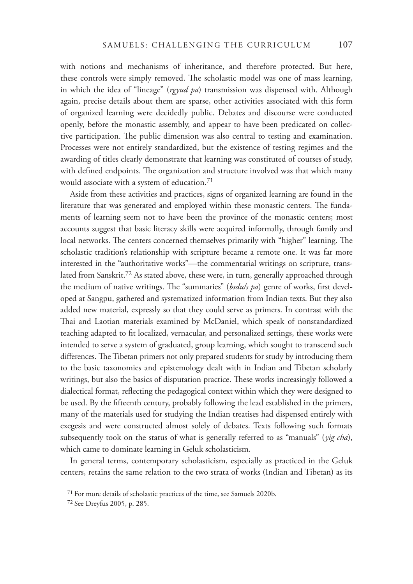with notions and mechanisms of inheritance, and therefore protected. But here, these controls were simply removed. The scholastic model was one of mass learning, in which the idea of "lineage" (*rgyud pa*) transmission was dispensed with. Although again, precise details about them are sparse, other activities associated with this form of organized learning were decidedly public. Debates and discourse were conducted openly, before the monastic assembly, and appear to have been predicated on collective participation. The public dimension was also central to testing and examination. Processes were not entirely standardized, but the existence of testing regimes and the awarding of titles clearly demonstrate that learning was constituted of courses of study, with defined endpoints. The organization and structure involved was that which many would associate with a system of education.71

Aside from these activities and practices, signs of organized learning are found in the literature that was generated and employed within these monastic centers. The fundaments of learning seem not to have been the province of the monastic centers; most accounts suggest that basic literacy skills were acquired informally, through family and local networks. The centers concerned themselves primarily with "higher" learning. The scholastic tradition's relationship with scripture became a remote one. It was far more interested in the "authoritative works"—the commentarial writings on scripture, translated from Sanskrit.72 As stated above, these were, in turn, generally approached through the medium of native writings. The "summaries" (*bsduls pa*) genre of works, first developed at Sangpu, gathered and systematized information from Indian texts. But they also added new material, expressly so that they could serve as primers. In contrast with the Thai and Laotian materials examined by McDaniel, which speak of nonstandardized teaching adapted to fit localized, vernacular, and personalized settings, these works were intended to serve a system of graduated, group learning, which sought to transcend such differences. The Tibetan primers not only prepared students for study by introducing them to the basic taxonomies and epistemology dealt with in Indian and Tibetan scholarly writings, but also the basics of disputation practice. These works increasingly followed a dialectical format, reflecting the pedagogical context within which they were designed to be used. By the fifteenth century, probably following the lead established in the primers, many of the materials used for studying the Indian treatises had dispensed entirely with exegesis and were constructed almost solely of debates. Texts following such formats subsequently took on the status of what is generally referred to as "manuals" ( *yig cha*), which came to dominate learning in Geluk scholasticism.

In general terms, contemporary scholasticism, especially as practiced in the Geluk centers, retains the same relation to the two strata of works (Indian and Tibetan) as its

<sup>71</sup> For more details of scholastic practices of the time, see Samuels 2020b.

<sup>72</sup> See Dreyfus 2005, p. 285.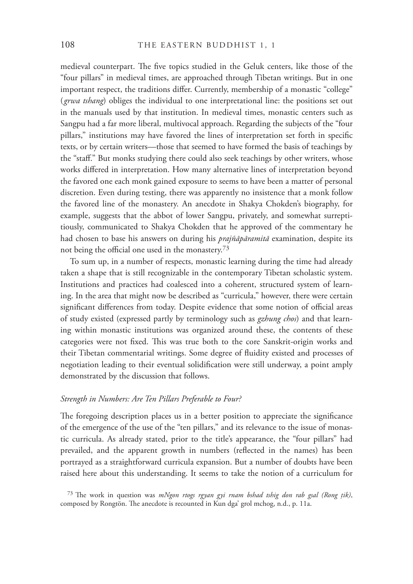medieval counterpart. The five topics studied in the Geluk centers, like those of the "four pillars" in medieval times, are approached through Tibetan writings. But in one important respect, the traditions differ. Currently, membership of a monastic "college" (*grwa tshang*) obliges the individual to one interpretational line: the positions set out in the manuals used by that institution. In medieval times, monastic centers such as Sangpu had a far more liberal, multivocal approach. Regarding the subjects of the "four pillars," institutions may have favored the lines of interpretation set forth in specific texts, or by certain writers—those that seemed to have formed the basis of teachings by the "staff." But monks studying there could also seek teachings by other writers, whose works differed in interpretation. How many alternative lines of interpretation beyond the favored one each monk gained exposure to seems to have been a matter of personal discretion. Even during testing, there was apparently no insistence that a monk follow the favored line of the monastery. An anecdote in Shakya Chokden's biography, for example, suggests that the abbot of lower Sangpu, privately, and somewhat surreptitiously, communicated to Shakya Chokden that he approved of the commentary he had chosen to base his answers on during his *prajñāpāramitā* examination, despite its not being the official one used in the monastery. $73$ 

To sum up, in a number of respects, monastic learning during the time had already taken a shape that is still recognizable in the contemporary Tibetan scholastic system. Institutions and practices had coalesced into a coherent, structured system of learning. In the area that might now be described as "curricula," however, there were certain significant differences from today. Despite evidence that some notion of official areas of study existed (expressed partly by terminology such as *gzhung chos*) and that learning within monastic institutions was organized around these, the contents of these categories were not fixed. This was true both to the core Sanskrit-origin works and their Tibetan commentarial writings. Some degree of fluidity existed and processes of negotiation leading to their eventual solidification were still underway, a point amply demonstrated by the discussion that follows.

# *Strength in Numbers: Are Ten Pillars Preferable to Four?*

The foregoing description places us in a better position to appreciate the significance of the emergence of the use of the "ten pillars," and its relevance to the issue of monastic curricula. As already stated, prior to the title's appearance, the "four pillars" had prevailed, and the apparent growth in numbers (reflected in the names) has been portrayed as a straightforward curricula expansion. But a number of doubts have been raised here about this understanding. It seems to take the notion of a curriculum for

73 The work in question was *mNgon rtogs rgyan gyi rnam bshad tshig don rab gsal (Rong tik)*, composed by Rongtön. The anecdote is recounted in Kun dga' grol mchog, n.d., p. 11a.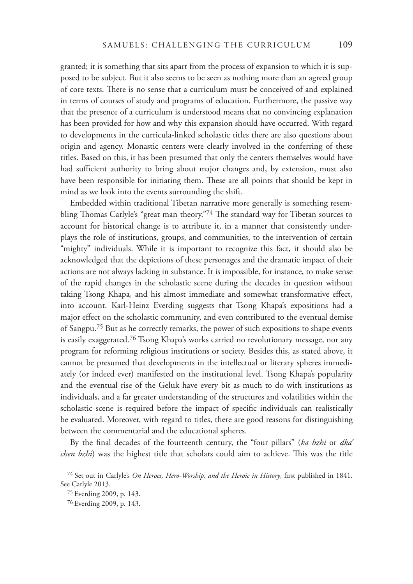granted; it is something that sits apart from the process of expansion to which it is supposed to be subject. But it also seems to be seen as nothing more than an agreed group of core texts. There is no sense that a curriculum must be conceived of and explained in terms of courses of study and programs of education. Furthermore, the passive way that the presence of a curriculum is understood means that no convincing explanation has been provided for how and why this expansion should have occurred. With regard to developments in the curricula-linked scholastic titles there are also questions about origin and agency. Monastic centers were clearly involved in the conferring of these titles. Based on this, it has been presumed that only the centers themselves would have had sufficient authority to bring about major changes and, by extension, must also have been responsible for initiating them. These are all points that should be kept in mind as we look into the events surrounding the shift.

Embedded within traditional Tibetan narrative more generally is something resembling Thomas Carlyle's "great man theory."74 The standard way for Tibetan sources to account for historical change is to attribute it, in a manner that consistently underplays the role of institutions, groups, and communities, to the intervention of certain "mighty" individuals. While it is important to recognize this fact, it should also be acknowledged that the depictions of these personages and the dramatic impact of their actions are not always lacking in substance. It is impossible, for instance, to make sense of the rapid changes in the scholastic scene during the decades in question without taking Tsong Khapa, and his almost immediate and somewhat transformative effect, into account. Karl-Heinz Everding suggests that Tsong Khapa's expositions had a major effect on the scholastic community, and even contributed to the eventual demise of Sangpu.75 But as he correctly remarks, the power of such expositions to shape events is easily exaggerated.<sup>76</sup> Tsong Khapa's works carried no revolutionary message, nor any program for reforming religious institutions or society. Besides this, as stated above, it cannot be presumed that developments in the intellectual or literary spheres immediately (or indeed ever) manifested on the institutional level. Tsong Khapa's popularity and the eventual rise of the Geluk have every bit as much to do with institutions as individuals, and a far greater understanding of the structures and volatilities within the scholastic scene is required before the impact of specific individuals can realistically be evaluated. Moreover, with regard to titles, there are good reasons for distinguishing between the commentarial and the educational spheres.

By the final decades of the fourteenth century, the "four pillars" (ka bzhi or dka' *chen bzhi*) was the highest title that scholars could aim to achieve. This was the title

<sup>&</sup>lt;sup>74</sup> Set out in Carlyle's *On Heroes, Hero-Worship, and the Heroic in History*, first published in 1841. See Carlyle 2013.

<sup>75</sup> Everding 2009, p. 143.

<sup>76</sup> Everding 2009, p. 143.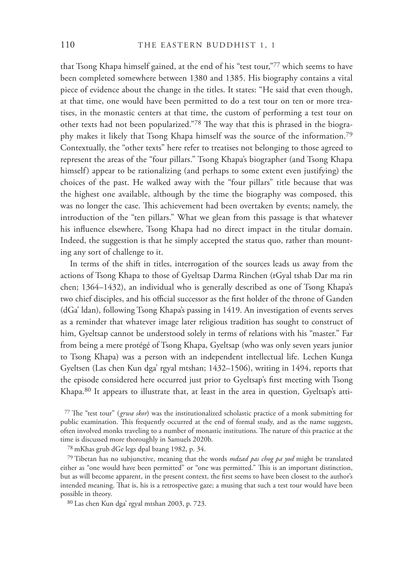that Tsong Khapa himself gained, at the end of his "test tour,"77 which seems to have been completed somewhere between 1380 and 1385. His biography contains a vital piece of evidence about the change in the titles. It states: "He said that even though, at that time, one would have been permitted to do a test tour on ten or more treatises, in the monastic centers at that time, the custom of performing a test tour on other texts had not been popularized."<sup>78</sup> The way that this is phrased in the biography makes it likely that Tsong Khapa himself was the source of the information.79 Contextually, the "other texts" here refer to treatises not belonging to those agreed to represent the areas of the "four pillars." Tsong Khapa's biographer (and Tsong Khapa himself) appear to be rationalizing (and perhaps to some extent even justifying) the choices of the past. He walked away with the "four pillars" title because that was the highest one available, although by the time the biography was composed, this was no longer the case. This achievement had been overtaken by events; namely, the introduction of the "ten pillars." What we glean from this passage is that whatever his influence elsewhere, Tsong Khapa had no direct impact in the titular domain. Indeed, the suggestion is that he simply accepted the status quo, rather than mounting any sort of challenge to it.

In terms of the shift in titles, interrogation of the sources leads us away from the actions of Tsong Khapa to those of Gyeltsap Darma Rinchen (rGyal tshab Dar ma rin chen; 1364–1432), an individual who is generally described as one of Tsong Khapa's two chief disciples, and his official successor as the first holder of the throne of Ganden (dGa' ldan), following Tsong Khapa's passing in 1419. An investigation of events serves as a reminder that whatever image later religious tradition has sought to construct of him, Gyeltsap cannot be understood solely in terms of relations with his "master." Far from being a mere protégé of Tsong Khapa, Gyeltsap (who was only seven years junior to Tsong Khapa) was a person with an independent intellectual life. Lechen Kunga Gyeltsen (Las chen Kun dga' rgyal mtshan; 1432–1506), writing in 1494, reports that the episode considered here occurred just prior to Gyeltsap's first meeting with Tsong Khapa.80 It appears to illustrate that, at least in the area in question, Gyeltsap's atti-

<sup>77</sup> The "test tour" (*grwa skor*) was the institutionalized scholastic practice of a monk submitting for public examination. This frequently occurred at the end of formal study, and as the name suggests, often involved monks traveling to a number of monastic institutions. The nature of this practice at the time is discussed more thoroughly in Samuels 2020b.

78 mKhas grub dGe legs dpal bzang 1982, p. 34.

79 Tibetan has no subjunctive, meaning that the words *mdzad pas chog pa yod* might be translated either as "one would have been permitted" or "one was permitted." This is an important distinction, but as will become apparent, in the present context, the first seems to have been closest to the author's intended meaning. That is, his is a retrospective gaze; a musing that such a test tour would have been possible in theory.

80 Las chen Kun dga' rgyal mtshan 2003, p. 723.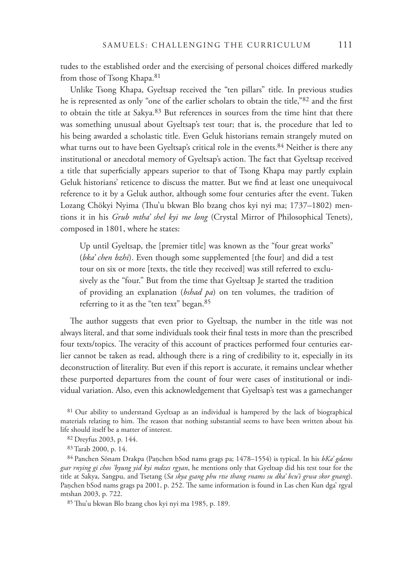tudes to the established order and the exercising of personal choices differed markedly from those of Tsong Khapa.<sup>81</sup>

Unlike Tsong Khapa, Gyeltsap received the "ten pillars" title. In previous studies he is represented as only "one of the earlier scholars to obtain the title,"82 and the first to obtain the title at Sakya.<sup>83</sup> But references in sources from the time hint that there was something unusual about Gyeltsap's test tour; that is, the procedure that led to his being awarded a scholastic title. Even Geluk historians remain strangely muted on what turns out to have been Gyeltsap's critical role in the events.<sup>84</sup> Neither is there any institutional or anecdotal memory of Gyeltsap's action. The fact that Gyeltsap received a title that superficially appears superior to that of Tsong Khapa may partly explain Geluk historians' reticence to discuss the matter. But we find at least one unequivocal reference to it by a Geluk author, although some four centuries after the event. Tuken Lozang Chökyi Nyima (Thu'u bkwan Blo bzang chos kyi nyi ma; 1737–1802) mentions it in his *Grub mtha' shel kyi me long* (Crystal Mirror of Philosophical Tenets), composed in 1801, where he states:

Up until Gyeltsap, the [premier title] was known as the "four great works" (*bka' chen bzhi*). Even though some supplemented [the four] and did a test tour on six or more [texts, the title they received] was still referred to exclusively as the "four." But from the time that Gyeltsap Je started the tradition of providing an explanation (*bshad pa*) on ten volumes, the tradition of referring to it as the "ten text" began.<sup>85</sup>

The author suggests that even prior to Gyeltsap, the number in the title was not always literal, and that some individuals took their final tests in more than the prescribed four texts/topics. The veracity of this account of practices performed four centuries earlier cannot be taken as read, although there is a ring of credibility to it, especially in its deconstruction of literality. But even if this report is accurate, it remains unclear whether these purported departures from the count of four were cases of institutional or individual variation. Also, even this acknowledgement that Gyeltsap's test was a gamechanger

<sup>81</sup> Our ability to understand Gyeltsap as an individual is hampered by the lack of biographical materials relating to him. The reason that nothing substantial seems to have been written about his life should itself be a matter of interest.

84 Panchen Sönam Drakpa (Panchen bSod nams grags pa; 1478–1554) is typical. In his *bKa' gdams gsar rnying gi chos 'byung yid kyi mdzes rgyan*, he mentions only that Gyeltsap did his test tour for the title at Sakya, Sangpu, and Tsetang (*Sa skya gsang phu rtse thang rnams su dka' bcu'i grwa skor gnang*). Paṇchen bSod nams grags pa 2001, p. 252. The same information is found in Las chen Kun dga' rgyal mtshan 2003, p. 722.

85 Thu'u bkwan Blo bzang chos kyi nyi ma 1985, p. 189.

<sup>82</sup> Dreyfus 2003, p. 144.

<sup>83</sup> Tarab 2000, p. 14.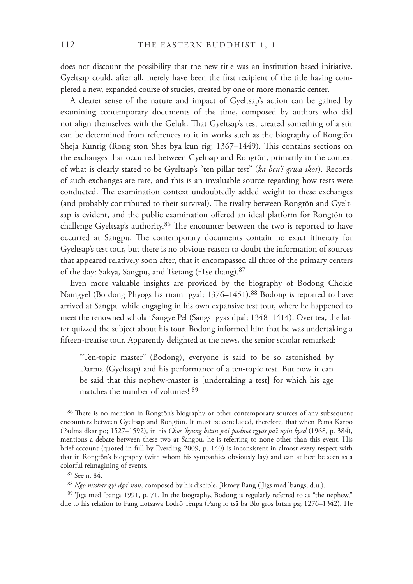does not discount the possibility that the new title was an institution-based initiative. Gyeltsap could, after all, merely have been the first recipient of the title having completed a new, expanded course of studies, created by one or more monastic center.

A clearer sense of the nature and impact of Gyeltsap's action can be gained by examining contemporary documents of the time, composed by authors who did not align themselves with the Geluk. That Gyeltsap's test created something of a stir can be determined from references to it in works such as the biography of Rongtön Sheja Kunrig (Rong ston Shes bya kun rig; 1367–1449). This contains sections on the exchanges that occurred between Gyeltsap and Rongtön, primarily in the context of what is clearly stated to be Gyeltsap's "ten pillar test" (*ka bcu'i grwa skor*). Records of such exchanges are rare, and this is an invaluable source regarding how tests were conducted. The examination context undoubtedly added weight to these exchanges (and probably contributed to their survival). The rivalry between Rongtön and Gyeltsap is evident, and the public examination offered an ideal platform for Rongtön to challenge Gyeltsap's authority. $86$  The encounter between the two is reported to have occurred at Sangpu. The contemporary documents contain no exact itinerary for Gyeltsap's test tour, but there is no obvious reason to doubt the information of sources that appeared relatively soon after, that it encompassed all three of the primary centers of the day: Sakya, Sangpu, and Tsetang (rTse thang).87

Even more valuable insights are provided by the biography of Bodong Chokle Namgyel (Bo dong Phyogs las rnam rgyal; 1376–1451).<sup>88</sup> Bodong is reported to have arrived at Sangpu while engaging in his own expansive test tour, where he happened to meet the renowned scholar Sangye Pel (Sangs rgyas dpal; 1348–1414). Over tea, the latter quizzed the subject about his tour. Bodong informed him that he was undertaking a fifteen-treatise tour. Apparently delighted at the news, the senior scholar remarked:

"Ten-topic master" (Bodong), everyone is said to be so astonished by Darma (Gyeltsap) and his performance of a ten-topic test. But now it can be said that this nephew-master is [undertaking a test] for which his age matches the number of volumes! 89

86 There is no mention in Rongtön's biography or other contemporary sources of any subsequent encounters between Gyeltsap and Rongtön. It must be concluded, therefore, that when Pema Karpo (Padma dkar po; 1527–1592), in his *Chos 'byung bstan pa'i padma rgyas pa'i nyin byed* (1968, p. 384), mentions a debate between these two at Sangpu, he is referring to none other than this event. His brief account (quoted in full by Everding 2009, p. 140) is inconsistent in almost every respect with that in Rongtön's biography (with whom his sympathies obviously lay) and can at best be seen as a colorful reimagining of events.

87 See n. 84.

<sup>88</sup>*Ngo mtshar gyi dga' ston*, composed by his disciple, Jikmey Bang ('Jigs med 'bangs; d.u.).

89 'Jigs med 'bangs 1991, p. 71. In the biography, Bodong is regularly referred to as "the nephew," due to his relation to Pang Lotsawa Lodrö Tenpa (Pang lo tsā ba Blo gros brtan pa; 1276–1342). He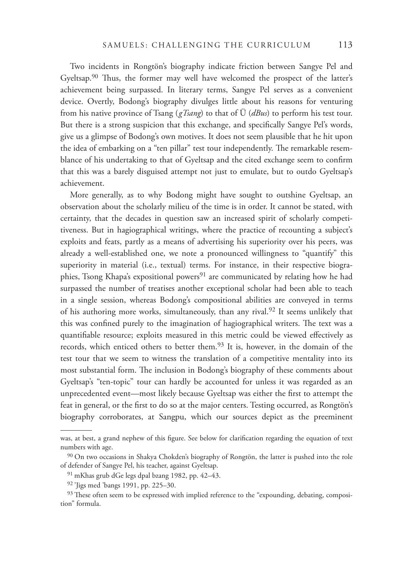Two incidents in Rongtön's biography indicate friction between Sangye Pel and Gyeltsap.<sup>90</sup> Thus, the former may well have welcomed the prospect of the latter's achievement being surpassed. In literary terms, Sangye Pel serves as a convenient device. Overtly, Bodong's biography divulges little about his reasons for venturing from his native province of Tsang (*gTsang*) to that of Ü (*dBus*) to perform his test tour. But there is a strong suspicion that this exchange, and specifically Sangye Pel's words, give us a glimpse of Bodong's own motives. It does not seem plausible that he hit upon the idea of embarking on a "ten pillar" test tour independently. The remarkable resemblance of his undertaking to that of Gyeltsap and the cited exchange seem to confirm that this was a barely disguised attempt not just to emulate, but to outdo Gyeltsap's achievement.

More generally, as to why Bodong might have sought to outshine Gyeltsap, an observation about the scholarly milieu of the time is in order. It cannot be stated, with certainty, that the decades in question saw an increased spirit of scholarly competitiveness. But in hagiographical writings, where the practice of recounting a subject's exploits and feats, partly as a means of advertising his superiority over his peers, was already a well-established one, we note a pronounced willingness to "quantify" this superiority in material (i.e., textual) terms. For instance, in their respective biographies, Tsong Khapa's expositional powers<sup>91</sup> are communicated by relating how he had surpassed the number of treatises another exceptional scholar had been able to teach in a single session, whereas Bodong's compositional abilities are conveyed in terms of his authoring more works, simultaneously, than any rival.<sup>92</sup> It seems unlikely that this was confined purely to the imagination of hagiographical writers. The text was a quantifiable resource; exploits measured in this metric could be viewed effectively as records, which enticed others to better them.93 It is, however, in the domain of the test tour that we seem to witness the translation of a competitive mentality into its most substantial form. The inclusion in Bodong's biography of these comments about Gyeltsap's "ten-topic" tour can hardly be accounted for unless it was regarded as an unprecedented event—most likely because Gyeltsap was either the first to attempt the feat in general, or the first to do so at the major centers. Testing occurred, as Rongtön's biography corroborates, at Sangpu, which our sources depict as the preeminent

was, at best, a grand nephew of this figure. See below for clarification regarding the equation of text numbers with age.

<sup>90</sup> On two occasions in Shakya Chokden's biography of Rongtön, the latter is pushed into the role of defender of Sangye Pel, his teacher, against Gyeltsap.

<sup>91</sup> mKhas grub dGe legs dpal bzang 1982, pp. 42–43.

<sup>92 &#</sup>x27;Jigs med 'bangs 1991, pp. 225–30.

<sup>93</sup> These often seem to be expressed with implied reference to the "expounding, debating, composition" formula.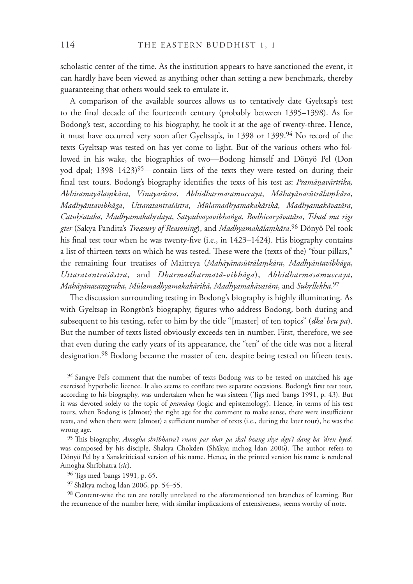scholastic center of the time. As the institution appears to have sanctioned the event, it can hardly have been viewed as anything other than setting a new benchmark, thereby guaranteeing that others would seek to emulate it.

A comparison of the available sources allows us to tentatively date Gyeltsap's test to the final decade of the fourteenth century (probably between 1395–1398). As for Bodong's test, according to his biography, he took it at the age of twenty-three. Hence, it must have occurred very soon after Gyeltsap's, in 1398 or 1399.<sup>94</sup> No record of the texts Gyeltsap was tested on has yet come to light. But of the various others who followed in his wake, the biographies of two—Bodong himself and Dönyö Pel (Don yod dpal; 1398-1423)<sup>95</sup>—contain lists of the texts they were tested on during their final test tours. Bodong's biography identifies the texts of his test as: *Pramāņavārttika*, Abhisamayālamkāra, Vinayasūtra, Abhidharmasamuccaya, Māhayānasūtrālamkāra, *Madhyāntavibhāga*, *Uttaratantraśāstra*, *Mūlamadhyamakakārikā*, *Madhyamakāvatāra*, *Catu͉śataka*, *MadhyamakahͿdaya*, *Satyadvayavibhaͩga*, *Bodhicaryāvatāra*, *Tshad ma rigs gter* (Sakya Pandita's *Treasury of Reasoning*), and *Madhyamakālaͧkāra*. 96 Dönyö Pel took his final test tour when he was twenty-five (i.e., in  $1423-1424$ ). His biography contains a list of thirteen texts on which he was tested. These were the (texts of the) "four pillars," the remaining four treatises of Maitreya (*Mahāyānasūtrālaͧkāra*, *Madhyāntavibhāga*, *Uttaratantraśāstra*, and *Dharmadharmatā-vibhāga*), *Abhidharmasamuccaya*, *Mahāyānasaͧgraha*, *Mūlamadhyamakakārikā*, *Madhyamakāvatāra*, and *SuhͿllekha*. 97

The discussion surrounding testing in Bodong's biography is highly illuminating. As with Gyeltsap in Rongtön's biography, figures who address Bodong, both during and subsequent to his testing, refer to him by the title "[master] of ten topics" (*dka' bcu pa*). But the number of texts listed obviously exceeds ten in number. First, therefore, we see that even during the early years of its appearance, the "ten" of the title was not a literal designation.<sup>98</sup> Bodong became the master of ten, despite being tested on fifteen texts.

<sup>94</sup> Sangye Pel's comment that the number of texts Bodong was to be tested on matched his age exercised hyperbolic licence. It also seems to conflate two separate occasions. Bodong's first test tour, according to his biography, was undertaken when he was sixteen ('Jigs med 'bangs 1991, p. 43). But it was devoted solely to the topic of *pramāna* (logic and epistemology). Hence, in terms of his test tours, when Bodong is (almost) the right age for the comment to make sense, there were insufficient texts, and when there were (almost) a sufficient number of texts (i.e., during the later tour), he was the wrong age.

<sup>95</sup> This biography, *Amogha shrībhatra'i rnam par thar pa skal bzang skye dgu'i dang ba 'dren byed*, was composed by his disciple, Shakya Chokden (Shākya mchog ldan 2006). The author refers to Dönyö Pel by a Sanskriticised version of his name. Hence, in the printed version his name is rendered Amogha Shrībhatra (*sic*).

96 'Jigs med 'bangs 1991, p. 65.

97 Shākya mchog ldan 2006, pp. 54–55.

98 Content-wise the ten are totally unrelated to the aforementioned ten branches of learning. But the recurrence of the number here, with similar implications of extensiveness, seems worthy of note.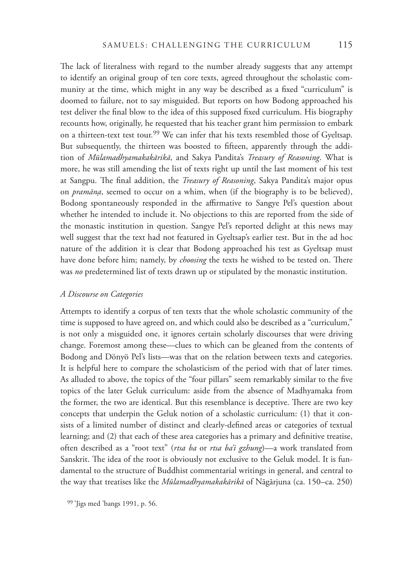The lack of literalness with regard to the number already suggests that any attempt to identify an original group of ten core texts, agreed throughout the scholastic community at the time, which might in any way be described as a fixed "curriculum" is doomed to failure, not to say misguided. But reports on how Bodong approached his test deliver the final blow to the idea of this supposed fixed curriculum. His biography recounts how, originally, he requested that his teacher grant him permission to embark on a thirteen-text test tour.<sup>99</sup> We can infer that his texts resembled those of Gyeltsap. But subsequently, the thirteen was boosted to fifteen, apparently through the addition of *Mūlamadhyamakakārikā*, and Sakya Pandita's *Treasury of Reasoning*. What is more, he was still amending the list of texts right up until the last moment of his test at Sangpu. The final addition, the *Treasury of Reasoning*, Sakya Pandita's major opus on *pramāna*, seemed to occur on a whim, when (if the biography is to be believed), Bodong spontaneously responded in the affirmative to Sangye Pel's question about whether he intended to include it. No objections to this are reported from the side of the monastic institution in question. Sangye Pel's reported delight at this news may well suggest that the text had not featured in Gyeltsap's earlier test. But in the ad hoc nature of the addition it is clear that Bodong approached his test as Gyeltsap must have done before him; namely, by *choosing* the texts he wished to be tested on. There was *no* predetermined list of texts drawn up or stipulated by the monastic institution.

#### *A Discourse on Categories*

Attempts to identify a corpus of ten texts that the whole scholastic community of the time is supposed to have agreed on, and which could also be described as a "curriculum," is not only a misguided one, it ignores certain scholarly discourses that were driving change. Foremost among these—clues to which can be gleaned from the contents of Bodong and Dönyö Pel's lists—was that on the relation between texts and categories. It is helpful here to compare the scholasticism of the period with that of later times. As alluded to above, the topics of the "four pillars" seem remarkably similar to the five topics of the later Geluk curriculum: aside from the absence of Madhyamaka from the former, the two are identical. But this resemblance is deceptive. There are two key concepts that underpin the Geluk notion of a scholastic curriculum: (1) that it consists of a limited number of distinct and clearly-defined areas or categories of textual learning; and (2) that each of these area categories has a primary and definitive treatise, often described as a "root text" (*rtsa ba* or *rtsa ba'i gzhung*)—a work translated from Sanskrit. The idea of the root is obviously not exclusive to the Geluk model. It is fundamental to the structure of Buddhist commentarial writings in general, and central to the way that treatises like the *Mūlamadhyamakakārikā* of Nāgārjuna (ca. 150–ca. 250)

<sup>99 &#</sup>x27;Jigs med 'bangs 1991, p. 56.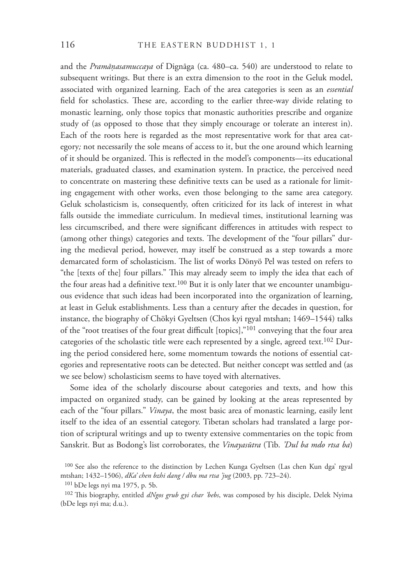and the *Pramāņasamuccaya* of Dignāga (ca. 480–ca. 540) are understood to relate to subsequent writings. But there is an extra dimension to the root in the Geluk model, associated with organized learning. Each of the area categories is seen as an *essential* field for scholastics. These are, according to the earlier three-way divide relating to monastic learning, only those topics that monastic authorities prescribe and organize study of (as opposed to those that they simply encourage or tolerate an interest in). Each of the roots here is regarded as the most representative work for that area category*;* not necessarily the sole means of access to it, but the one around which learning of it should be organized. This is reflected in the model's components—its educational materials, graduated classes, and examination system. In practice, the perceived need to concentrate on mastering these definitive texts can be used as a rationale for limiting engagement with other works, even those belonging to the same area category. Geluk scholasticism is, consequently, often criticized for its lack of interest in what falls outside the immediate curriculum. In medieval times, institutional learning was less circumscribed, and there were significant differences in attitudes with respect to (among other things) categories and texts. The development of the "four pillars" during the medieval period, however, may itself be construed as a step towards a more demarcated form of scholasticism. The list of works Dönyö Pel was tested on refers to "the [texts of the] four pillars." This may already seem to imply the idea that each of the four areas had a definitive text.<sup>100</sup> But it is only later that we encounter unambiguous evidence that such ideas had been incorporated into the organization of learning, at least in Geluk establishments. Less than a century after the decades in question, for instance, the biography of Chökyi Gyeltsen (Chos kyi rgyal mtshan; 1469–1544) talks of the "root treatises of the four great difficult [topics]," $101$  conveying that the four area categories of the scholastic title were each represented by a single, agreed text.<sup>102</sup> During the period considered here, some momentum towards the notions of essential categories and representative roots can be detected. But neither concept was settled and (as we see below) scholasticism seems to have toyed with alternatives.

Some idea of the scholarly discourse about categories and texts, and how this impacted on organized study, can be gained by looking at the areas represented by each of the "four pillars." *Vinaya*, the most basic area of monastic learning, easily lent itself to the idea of an essential category. Tibetan scholars had translated a large portion of scriptural writings and up to twenty extensive commentaries on the topic from Sanskrit. But as Bodong's list corroborates, the *Vinayasūtra* (Tib. *'Dul ba mdo rtsa ba*)

<sup>100</sup> See also the reference to the distinction by Lechen Kunga Gyeltsen (Las chen Kun dga' rgyal mtshan; 1432–1506), *dKa' chen bzhi dang / dbu ma rtsa 'jug* (2003, pp. 723–24).

<sup>101</sup> bDe legs nyi ma 1975, p. 5b.

<sup>&</sup>lt;sup>102</sup> This biography, entitled *dNgos grub gyi char 'bebs*, was composed by his disciple, Delek Nyima (bDe legs nyi ma; d.u.).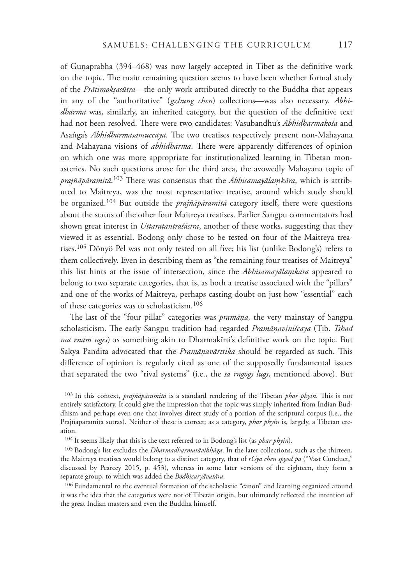of Gunaprabha  $(394–468)$  was now largely accepted in Tibet as the definitive work on the topic. The main remaining question seems to have been whether formal study of the *Prātimokṣasūtra*—the only work attributed directly to the Buddha that appears in any of the "authoritative" ( *gzhung chen*) collections—was also necessary. *Abhidharma* was, similarly, an inherited category, but the question of the definitive text had not been resolved. There were two candidates: Vasubandhu's *Abhidharmakośa* and Asanga's *Abhidharmasamuccaya*. The two treatises respectively present non-Mahayana and Mahayana visions of *abhidharma*. There were apparently differences of opinion on which one was more appropriate for institutionalized learning in Tibetan monasteries. No such questions arose for the third area, the avowedly Mahayana topic of *prajñāpāramitā*. <sup>103</sup> !ere was consensus that the *Abhisamayālaͧkāra*, which is attributed to Maitreya, was the most representative treatise, around which study should be organized.104 But outside the *prajñāpāramitā* category itself, there were questions about the status of the other four Maitreya treatises. Earlier Sangpu commentators had shown great interest in *Uttaratantraśāstra*, another of these works, suggesting that they viewed it as essential. Bodong only chose to be tested on four of the Maitreya treatises.<sup>105</sup> Dönyö Pel was not only tested on all five; his list (unlike Bodong's) refers to them collectively. Even in describing them as "the remaining four treatises of Maitreya" this list hints at the issue of intersection, since the *Abhisamayalamkara* appeared to belong to two separate categories, that is, as both a treatise associated with the "pillars" and one of the works of Maitreya, perhaps casting doubt on just how "essential" each of these categories was to scholasticism.106

The last of the "four pillar" categories was *pramāņa*, the very mainstay of Sangpu scholasticism. The early Sangpu tradition had regarded *Pramāņaviniścaya* (Tib. Tshad *ma rnam nges*) as something akin to Dharmakīrti's definitive work on the topic. But Sakya Pandita advocated that the *Pramāņavārttika* should be regarded as such. This difference of opinion is regularly cited as one of the supposedly fundamental issues that separated the two "rival systems" (i.e., the *sa rngogs lugs*, mentioned above). But

103 In this context, *prajñāpāramitā* is a standard rendering of the Tibetan *phar phyin*. !is is not entirely satisfactory. It could give the impression that the topic was simply inherited from Indian Buddhism and perhaps even one that involves direct study of a portion of the scriptural corpus (i.e., the Prajñāpāramitā sutras). Neither of these is correct; as a category, *phar phyin* is, largely, a Tibetan creation.

104 It seems likely that this is the text referred to in Bodong's list (as *phar phyin*).

105 Bodong's list excludes the *Dharmadharmatāvibhāga*. In the later collections, such as the thirteen, the Maitreya treatises would belong to a distinct category, that of *rGya chen spyod pa* ("Vast Conduct," discussed by Pearcey 2015, p. 453), whereas in some later versions of the eighteen, they form a separate group, to which was added the *Bodhicaryāvatāra*.

106 Fundamental to the eventual formation of the scholastic "canon" and learning organized around it was the idea that the categories were not of Tibetan origin, but ultimately reflected the intention of the great Indian masters and even the Buddha himself.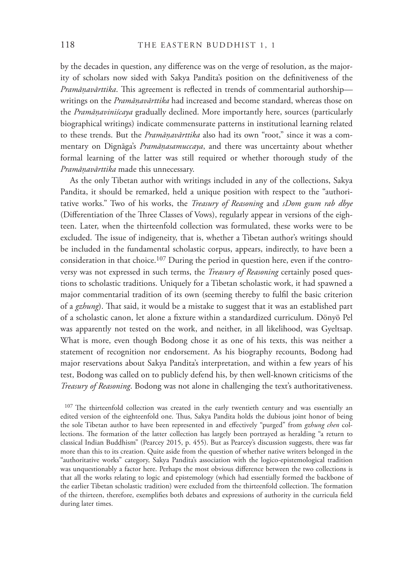by the decades in question, any difference was on the verge of resolution, as the majority of scholars now sided with Sakya Pandita's position on the definitiveness of the *Pramānavārttika*. This agreement is reflected in trends of commentarial authorship writings on the *Pramāņavārttika* had increased and become standard, whereas those on the *Pramāͫaviniścaya* gradually declined. More importantly here, sources (particularly biographical writings) indicate commensurate patterns in institutional learning related to these trends. But the *Pramāņavārttika* also had its own "root," since it was a commentary on Dignāga's Pramāņasamuccaya, and there was uncertainty about whether formal learning of the latter was still required or whether thorough study of the *Pramāͫavārttika* made this unnecessary.

As the only Tibetan author with writings included in any of the collections, Sakya Pandita, it should be remarked, held a unique position with respect to the "authoritative works." Two of his works, the *Treasury of Reasoning* and *sDom gsum rab dbye*  (Differentiation of the Three Classes of Vows), regularly appear in versions of the eighteen. Later, when the thirteenfold collection was formulated, these works were to be excluded. The issue of indigeneity, that is, whether a Tibetan author's writings should be included in the fundamental scholastic corpus, appears, indirectly, to have been a consideration in that choice.<sup>107</sup> During the period in question here, even if the controversy was not expressed in such terms, the *Treasury of Reasoning* certainly posed questions to scholastic traditions. Uniquely for a Tibetan scholastic work, it had spawned a major commentarial tradition of its own (seeming thereby to fulfil the basic criterion of a gzhung). That said, it would be a mistake to suggest that it was an established part of a scholastic canon, let alone a fixture within a standardized curriculum. Dönyö Pel was apparently not tested on the work, and neither, in all likelihood, was Gyeltsap. What is more, even though Bodong chose it as one of his texts, this was neither a statement of recognition nor endorsement. As his biography recounts, Bodong had major reservations about Sakya Pandita's interpretation, and within a few years of his test, Bodong was called on to publicly defend his, by then well-known criticisms of the *Treasury of Reasoning*. Bodong was not alone in challenging the text's authoritativeness.

 $107$  The thirteenfold collection was created in the early twentieth century and was essentially an edited version of the eighteenfold one. Thus, Sakya Pandita holds the dubious joint honor of being the sole Tibetan author to have been represented in and effectively "purged" from *gzhung chen* collections. The formation of the latter collection has largely been portrayed as heralding "a return to classical Indian Buddhism" (Pearcey 2015, p. 455). But as Pearcey's discussion suggests, there was far more than this to its creation. Quite aside from the question of whether native writers belonged in the "authoritative works" category, Sakya Pandita's association with the logico-epistemological tradition was unquestionably a factor here. Perhaps the most obvious difference between the two collections is that all the works relating to logic and epistemology (which had essentially formed the backbone of the earlier Tibetan scholastic tradition) were excluded from the thirteenfold collection. The formation of the thirteen, therefore, exemplifies both debates and expressions of authority in the curricula field during later times.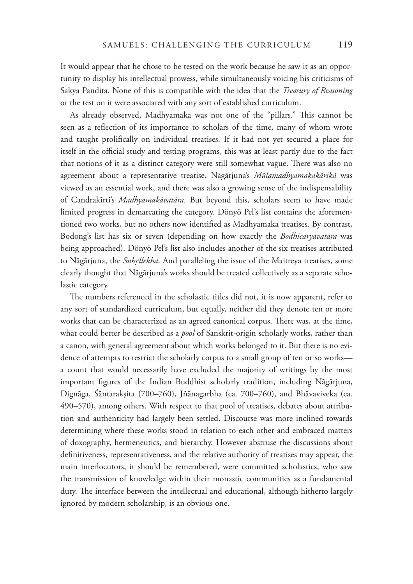It would appear that he chose to be tested on the work because he saw it as an opportunity to display his intellectual prowess, while simultaneously voicing his criticisms of Sakya Pandita. None of this is compatible with the idea that the *Treasury of Reasoning* or the test on it were associated with any sort of established curriculum.

As already observed, Madhyamaka was not one of the "pillars." This cannot be seen as a reflection of its importance to scholars of the time, many of whom wrote and taught prolifically on individual treatises. If it had not yet secured a place for itself in the official study and testing programs, this was at least partly due to the fact that notions of it as a distinct category were still somewhat vague. There was also no agreement about a representative treatise. Nāgārjuna's *Mūlamadhyamakakārikā* was viewed as an essential work, and there was also a growing sense of the indispensability of Candrakīrti's *Madhyamakāvatāra*. But beyond this, scholars seem to have made limited progress in demarcating the category. Dönyö Pel's list contains the aforementioned two works, but no others now identified as Madhyamaka treatises. By contrast, Bodong's list has six or seven (depending on how exactly the *Bodhicaryāvatāra* was being approached). Dönyö Pel's list also includes another of the six treatises attributed to Nāgārjuna, the *SuhͿllekha*. And paralleling the issue of the Maitreya treatises, some clearly thought that Nāgārjuna's works should be treated collectively as a separate scholastic category.

The numbers referenced in the scholastic titles did not, it is now apparent, refer to any sort of standardized curriculum, but equally, neither did they denote ten or more works that can be characterized as an agreed canonical corpus. There was, at the time, what could better be described as a *pool* of Sanskrit-origin scholarly works, rather than a canon, with general agreement about which works belonged to it. But there is no evidence of attempts to restrict the scholarly corpus to a small group of ten or so works a count that would necessarily have excluded the majority of writings by the most important figures of the Indian Buddhist scholarly tradition, including Nāgārjuna, Dignāga, Śāntarakṣita (700–760), Jñānagarbha (ca. 700–760), and Bhāvaviveka (ca. 490–570), among others. With respect to that pool of treatises, debates about attribution and authenticity had largely been settled. Discourse was more inclined towards determining where these works stood in relation to each other and embraced matters of doxography, hermeneutics, and hierarchy. However abstruse the discussions about definitiveness, representativeness, and the relative authority of treatises may appear, the main interlocutors, it should be remembered, were committed scholastics, who saw the transmission of knowledge within their monastic communities as a fundamental duty. The interface between the intellectual and educational, although hitherto largely ignored by modern scholarship, is an obvious one.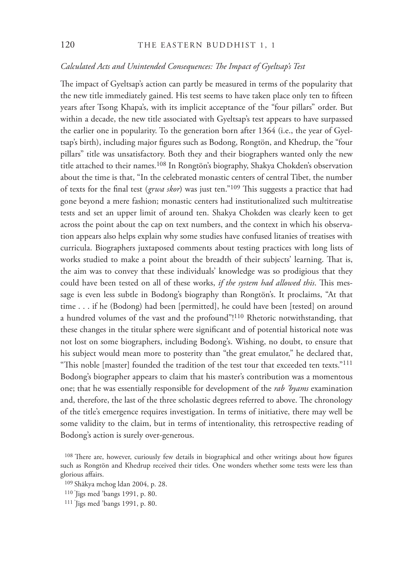# *Calculated Acts and Unintended Consequences: !e Impact of Gyeltsap's Test*

The impact of Gyeltsap's action can partly be measured in terms of the popularity that the new title immediately gained. His test seems to have taken place only ten to fifteen years after Tsong Khapa's, with its implicit acceptance of the "four pillars" order. But within a decade, the new title associated with Gyeltsap's test appears to have surpassed the earlier one in popularity. To the generation born after 1364 (i.e., the year of Gyeltsap's birth), including major figures such as Bodong, Rongtön, and Khedrup, the "four pillars" title was unsatisfactory. Both they and their biographers wanted only the new title attached to their names.108 In Rongtön's biography, Shakya Chokden's observation about the time is that, "In the celebrated monastic centers of central Tibet, the number of texts for the final test (*grwa skor*) was just ten."<sup>109</sup> This suggests a practice that had gone beyond a mere fashion; monastic centers had institutionalized such multitreatise tests and set an upper limit of around ten. Shakya Chokden was clearly keen to get across the point about the cap on text numbers, and the context in which his observation appears also helps explain why some studies have confused litanies of treatises with curricula. Biographers juxtaposed comments about testing practices with long lists of works studied to make a point about the breadth of their subjects' learning. That is, the aim was to convey that these individuals' knowledge was so prodigious that they could have been tested on all of these works, *if the system had allowed this*. This message is even less subtle in Bodong's biography than Rongtön's. It proclaims, "At that time . . . if he (Bodong) had been [permitted], he could have been [tested] on around a hundred volumes of the vast and the profound"!110 Rhetoric notwithstanding, that these changes in the titular sphere were significant and of potential historical note was not lost on some biographers, including Bodong's. Wishing, no doubt, to ensure that his subject would mean more to posterity than "the great emulator," he declared that, "This noble [master] founded the tradition of the test tour that exceeded ten texts."<sup>111</sup> Bodong's biographer appears to claim that his master's contribution was a momentous one; that he was essentially responsible for development of the *rab 'byams* examination and, therefore, the last of the three scholastic degrees referred to above. The chronology of the title's emergence requires investigation. In terms of initiative, there may well be some validity to the claim, but in terms of intentionality, this retrospective reading of Bodong's action is surely over-generous.

<sup>&</sup>lt;sup>108</sup> There are, however, curiously few details in biographical and other writings about how figures such as Rongtön and Khedrup received their titles. One wonders whether some tests were less than glorious affairs.

<sup>109</sup> Shākya mchog ldan 2004, p. 28.

<sup>110 &#</sup>x27; Jigs med 'bangs 1991, p. 80.

<sup>111 &#</sup>x27; Jigs med 'bangs 1991, p. 80.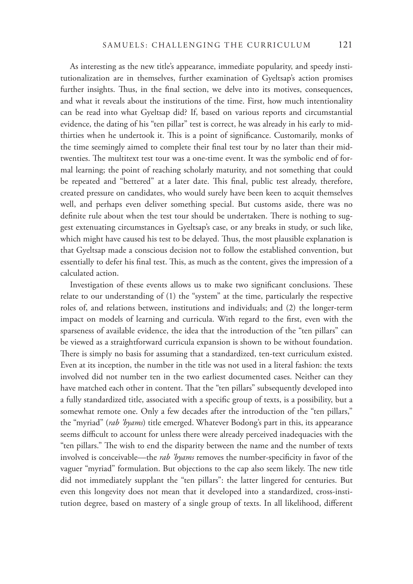As interesting as the new title's appearance, immediate popularity, and speedy institutionalization are in themselves, further examination of Gyeltsap's action promises further insights. Thus, in the final section, we delve into its motives, consequences, and what it reveals about the institutions of the time. First, how much intentionality can be read into what Gyeltsap did? If, based on various reports and circumstantial evidence, the dating of his "ten pillar" test is correct, he was already in his early to midthirties when he undertook it. This is a point of significance. Customarily, monks of the time seemingly aimed to complete their final test tour by no later than their midtwenties. The multitext test tour was a one-time event. It was the symbolic end of formal learning; the point of reaching scholarly maturity, and not something that could be repeated and "bettered" at a later date. This final, public test already, therefore, created pressure on candidates, who would surely have been keen to acquit themselves well, and perhaps even deliver something special. But customs aside, there was no definite rule about when the test tour should be undertaken. There is nothing to suggest extenuating circumstances in Gyeltsap's case, or any breaks in study, or such like, which might have caused his test to be delayed. Thus, the most plausible explanation is that Gyeltsap made a conscious decision not to follow the established convention, but essentially to defer his final test. This, as much as the content, gives the impression of a calculated action.

Investigation of these events allows us to make two significant conclusions. These relate to our understanding of (1) the "system" at the time, particularly the respective roles of, and relations between, institutions and individuals; and (2) the longer-term impact on models of learning and curricula. With regard to the first, even with the sparseness of available evidence, the idea that the introduction of the "ten pillars" can be viewed as a straightforward curricula expansion is shown to be without foundation. There is simply no basis for assuming that a standardized, ten-text curriculum existed. Even at its inception, the number in the title was not used in a literal fashion: the texts involved did not number ten in the two earliest documented cases. Neither can they have matched each other in content. That the "ten pillars" subsequently developed into a fully standardized title, associated with a specific group of texts, is a possibility, but a somewhat remote one. Only a few decades after the introduction of the "ten pillars," the "myriad" (*rab 'byams*) title emerged. Whatever Bodong's part in this, its appearance seems difficult to account for unless there were already perceived inadequacies with the "ten pillars." The wish to end the disparity between the name and the number of texts involved is conceivable—the *rab 'byams* removes the number-specificity in favor of the vaguer "myriad" formulation. But objections to the cap also seem likely. The new title did not immediately supplant the "ten pillars": the latter lingered for centuries. But even this longevity does not mean that it developed into a standardized, cross-institution degree, based on mastery of a single group of texts. In all likelihood, different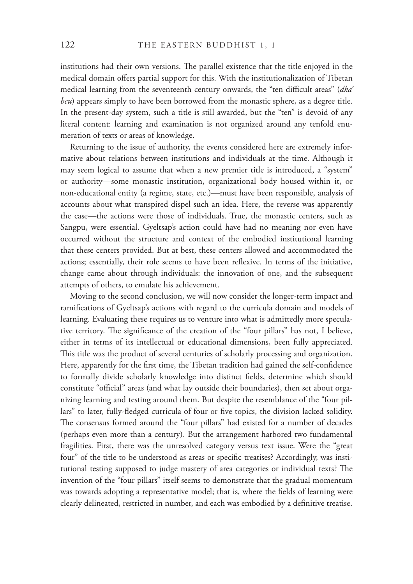institutions had their own versions. The parallel existence that the title enjoyed in the medical domain offers partial support for this. With the institutionalization of Tibetan medical learning from the seventeenth century onwards, the "ten difficult areas" (dka' *bcu*) appears simply to have been borrowed from the monastic sphere, as a degree title. In the present-day system, such a title is still awarded, but the "ten" is devoid of any literal content: learning and examination is not organized around any tenfold enumeration of texts or areas of knowledge.

Returning to the issue of authority, the events considered here are extremely informative about relations between institutions and individuals at the time. Although it may seem logical to assume that when a new premier title is introduced, a "system" or authority—some monastic institution, organizational body housed within it, or non-educational entity (a regime, state, etc.)—must have been responsible, analysis of accounts about what transpired dispel such an idea. Here, the reverse was apparently the case—the actions were those of individuals. True, the monastic centers, such as Sangpu, were essential. Gyeltsap's action could have had no meaning nor even have occurred without the structure and context of the embodied institutional learning that these centers provided. But at best, these centers allowed and accommodated the actions; essentially, their role seems to have been reflexive. In terms of the initiative, change came about through individuals: the innovation of one, and the subsequent attempts of others, to emulate his achievement.

Moving to the second conclusion, we will now consider the longer-term impact and ramifications of Gyeltsap's actions with regard to the curricula domain and models of learning. Evaluating these requires us to venture into what is admittedly more speculative territory. The significance of the creation of the "four pillars" has not, I believe, either in terms of its intellectual or educational dimensions, been fully appreciated. This title was the product of several centuries of scholarly processing and organization. Here, apparently for the first time, the Tibetan tradition had gained the self-confidence to formally divide scholarly knowledge into distinct fields, determine which should constitute "official" areas (and what lay outside their boundaries), then set about organizing learning and testing around them. But despite the resemblance of the "four pillars" to later, fully-fledged curricula of four or five topics, the division lacked solidity. The consensus formed around the "four pillars" had existed for a number of decades (perhaps even more than a century). But the arrangement harbored two fundamental fragilities. First, there was the unresolved category versus text issue. Were the "great four" of the title to be understood as areas or specific treatises? Accordingly, was institutional testing supposed to judge mastery of area categories or individual texts? The invention of the "four pillars" itself seems to demonstrate that the gradual momentum was towards adopting a representative model; that is, where the fields of learning were clearly delineated, restricted in number, and each was embodied by a definitive treatise.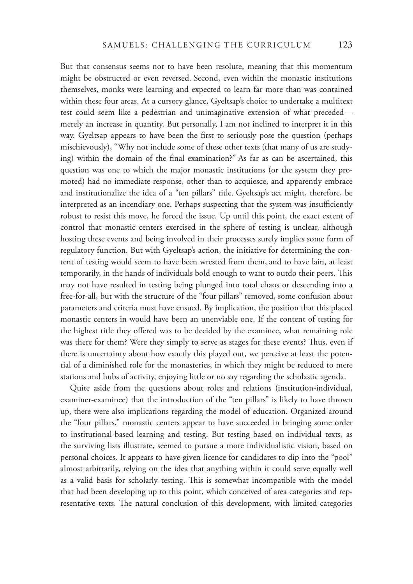But that consensus seems not to have been resolute, meaning that this momentum might be obstructed or even reversed. Second, even within the monastic institutions themselves, monks were learning and expected to learn far more than was contained within these four areas. At a cursory glance, Gyeltsap's choice to undertake a multitext test could seem like a pedestrian and unimaginative extension of what preceded merely an increase in quantity. But personally, I am not inclined to interpret it in this way. Gyeltsap appears to have been the first to seriously pose the question (perhaps mischievously), "Why not include some of these other texts (that many of us are studying) within the domain of the final examination?" As far as can be ascertained, this question was one to which the major monastic institutions (or the system they promoted) had no immediate response, other than to acquiesce, and apparently embrace and institutionalize the idea of a "ten pillars" title. Gyeltsap's act might, therefore, be interpreted as an incendiary one. Perhaps suspecting that the system was insufficiently robust to resist this move, he forced the issue. Up until this point, the exact extent of control that monastic centers exercised in the sphere of testing is unclear, although hosting these events and being involved in their processes surely implies some form of regulatory function. But with Gyeltsap's action, the initiative for determining the content of testing would seem to have been wrested from them, and to have lain, at least temporarily, in the hands of individuals bold enough to want to outdo their peers. This may not have resulted in testing being plunged into total chaos or descending into a free-for-all, but with the structure of the "four pillars" removed, some confusion about parameters and criteria must have ensued. By implication, the position that this placed monastic centers in would have been an unenviable one. If the content of testing for the highest title they offered was to be decided by the examinee, what remaining role was there for them? Were they simply to serve as stages for these events? Thus, even if there is uncertainty about how exactly this played out, we perceive at least the potential of a diminished role for the monasteries, in which they might be reduced to mere stations and hubs of activity, enjoying little or no say regarding the scholastic agenda.

Quite aside from the questions about roles and relations (institution-individual, examiner-examinee) that the introduction of the "ten pillars" is likely to have thrown up, there were also implications regarding the model of education. Organized around the "four pillars," monastic centers appear to have succeeded in bringing some order to institutional-based learning and testing. But testing based on individual texts, as the surviving lists illustrate, seemed to pursue a more individualistic vision, based on personal choices. It appears to have given licence for candidates to dip into the "pool" almost arbitrarily, relying on the idea that anything within it could serve equally well as a valid basis for scholarly testing. This is somewhat incompatible with the model that had been developing up to this point, which conceived of area categories and representative texts. The natural conclusion of this development, with limited categories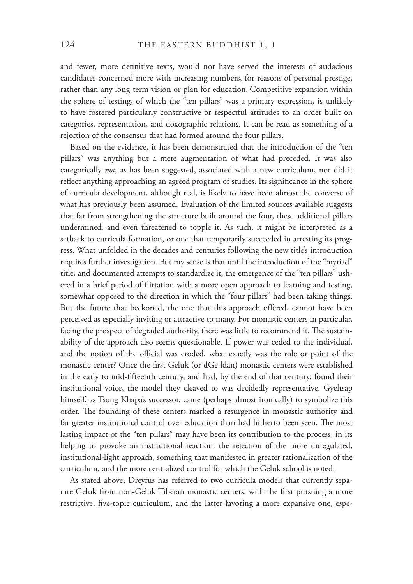and fewer, more definitive texts, would not have served the interests of audacious candidates concerned more with increasing numbers, for reasons of personal prestige, rather than any long-term vision or plan for education. Competitive expansion within the sphere of testing, of which the "ten pillars" was a primary expression, is unlikely to have fostered particularly constructive or respectful attitudes to an order built on categories, representation, and doxographic relations. It can be read as something of a rejection of the consensus that had formed around the four pillars.

Based on the evidence, it has been demonstrated that the introduction of the "ten pillars" was anything but a mere augmentation of what had preceded. It was also categorically *not*, as has been suggested, associated with a new curriculum, nor did it reflect anything approaching an agreed program of studies. Its significance in the sphere of curricula development, although real, is likely to have been almost the converse of what has previously been assumed. Evaluation of the limited sources available suggests that far from strengthening the structure built around the four, these additional pillars undermined, and even threatened to topple it. As such, it might be interpreted as a setback to curricula formation, or one that temporarily succeeded in arresting its progress. What unfolded in the decades and centuries following the new title's introduction requires further investigation. But my sense is that until the introduction of the "myriad" title, and documented attempts to standardize it, the emergence of the "ten pillars" ushered in a brief period of flirtation with a more open approach to learning and testing, somewhat opposed to the direction in which the "four pillars" had been taking things. But the future that beckoned, the one that this approach offered, cannot have been perceived as especially inviting or attractive to many. For monastic centers in particular, facing the prospect of degraded authority, there was little to recommend it. The sustainability of the approach also seems questionable. If power was ceded to the individual, and the notion of the official was eroded, what exactly was the role or point of the monastic center? Once the first Geluk (or dGe ldan) monastic centers were established in the early to mid-fifteenth century, and had, by the end of that century, found their institutional voice, the model they cleaved to was decidedly representative. Gyeltsap himself, as Tsong Khapa's successor, came (perhaps almost ironically) to symbolize this order. The founding of these centers marked a resurgence in monastic authority and far greater institutional control over education than had hitherto been seen. The most lasting impact of the "ten pillars" may have been its contribution to the process, in its helping to provoke an institutional reaction: the rejection of the more unregulated, institutional-light approach, something that manifested in greater rationalization of the curriculum, and the more centralized control for which the Geluk school is noted.

As stated above, Dreyfus has referred to two curricula models that currently separate Geluk from non-Geluk Tibetan monastic centers, with the first pursuing a more restrictive, five-topic curriculum, and the latter favoring a more expansive one, espe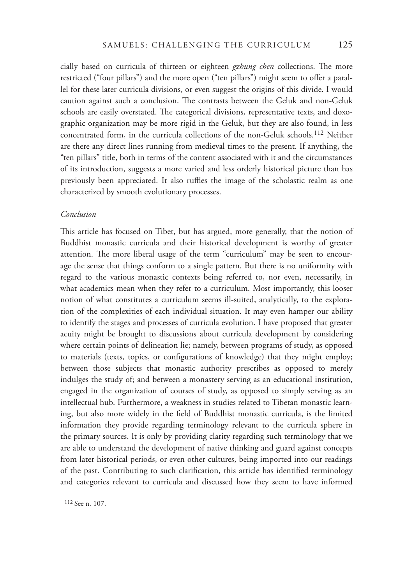cially based on curricula of thirteen or eighteen *gzhung chen* collections. The more restricted ("four pillars") and the more open ("ten pillars") might seem to offer a parallel for these later curricula divisions, or even suggest the origins of this divide. I would caution against such a conclusion. The contrasts between the Geluk and non-Geluk schools are easily overstated. The categorical divisions, representative texts, and doxographic organization may be more rigid in the Geluk, but they are also found, in less concentrated form, in the curricula collections of the non-Geluk schools.112 Neither are there any direct lines running from medieval times to the present. If anything, the "ten pillars" title, both in terms of the content associated with it and the circumstances of its introduction, suggests a more varied and less orderly historical picture than has previously been appreciated. It also ruffles the image of the scholastic realm as one characterized by smooth evolutionary processes.

#### *Conclusion*

This article has focused on Tibet, but has argued, more generally, that the notion of Buddhist monastic curricula and their historical development is worthy of greater attention. The more liberal usage of the term "curriculum" may be seen to encourage the sense that things conform to a single pattern. But there is no uniformity with regard to the various monastic contexts being referred to, nor even, necessarily, in what academics mean when they refer to a curriculum. Most importantly, this looser notion of what constitutes a curriculum seems ill-suited, analytically, to the exploration of the complexities of each individual situation. It may even hamper our ability to identify the stages and processes of curricula evolution. I have proposed that greater acuity might be brought to discussions about curricula development by considering where certain points of delineation lie; namely, between programs of study, as opposed to materials (texts, topics, or configurations of knowledge) that they might employ; between those subjects that monastic authority prescribes as opposed to merely indulges the study of; and between a monastery serving as an educational institution, engaged in the organization of courses of study, as opposed to simply serving as an intellectual hub. Furthermore, a weakness in studies related to Tibetan monastic learning, but also more widely in the field of Buddhist monastic curricula, is the limited information they provide regarding terminology relevant to the curricula sphere in the primary sources. It is only by providing clarity regarding such terminology that we are able to understand the development of native thinking and guard against concepts from later historical periods, or even other cultures, being imported into our readings of the past. Contributing to such clarification, this article has identified terminology and categories relevant to curricula and discussed how they seem to have informed

112 See n. 107.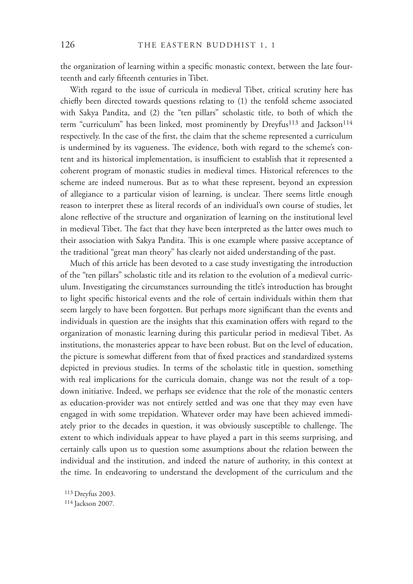the organization of learning within a specific monastic context, between the late fourteenth and early fifteenth centuries in Tibet.

With regard to the issue of curricula in medieval Tibet, critical scrutiny here has chiefly been directed towards questions relating to  $(1)$  the tenfold scheme associated with Sakya Pandita, and (2) the "ten pillars" scholastic title, to both of which the term "curriculum" has been linked, most prominently by Dreyfus<sup>113</sup> and Jackson<sup>114</sup> respectively. In the case of the first, the claim that the scheme represented a curriculum is undermined by its vagueness. The evidence, both with regard to the scheme's content and its historical implementation, is insufficient to establish that it represented a coherent program of monastic studies in medieval times. Historical references to the scheme are indeed numerous. But as to what these represent, beyond an expression of allegiance to a particular vision of learning, is unclear. There seems little enough reason to interpret these as literal records of an individual's own course of studies, let alone reflective of the structure and organization of learning on the institutional level in medieval Tibet. The fact that they have been interpreted as the latter owes much to their association with Sakya Pandita. This is one example where passive acceptance of the traditional "great man theory" has clearly not aided understanding of the past.

Much of this article has been devoted to a case study investigating the introduction of the "ten pillars" scholastic title and its relation to the evolution of a medieval curriculum. Investigating the circumstances surrounding the title's introduction has brought to light specific historical events and the role of certain individuals within them that seem largely to have been forgotten. But perhaps more significant than the events and individuals in question are the insights that this examination offers with regard to the organization of monastic learning during this particular period in medieval Tibet. As institutions, the monasteries appear to have been robust. But on the level of education, the picture is somewhat different from that of fixed practices and standardized systems depicted in previous studies. In terms of the scholastic title in question, something with real implications for the curricula domain, change was not the result of a topdown initiative. Indeed, we perhaps see evidence that the role of the monastic centers as education-provider was not entirely settled and was one that they may even have engaged in with some trepidation. Whatever order may have been achieved immediately prior to the decades in question, it was obviously susceptible to challenge. The extent to which individuals appear to have played a part in this seems surprising, and certainly calls upon us to question some assumptions about the relation between the individual and the institution, and indeed the nature of authority, in this context at the time. In endeavoring to understand the development of the curriculum and the

113 Dreyfus 2003.

114 Jackson 2007.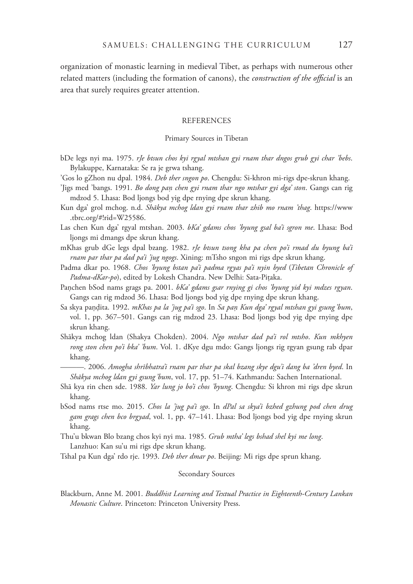organization of monastic learning in medieval Tibet, as perhaps with numerous other related matters (including the formation of canons), the *construction of the official* is an area that surely requires greater attention.

#### **REFERENCES**

#### Primary Sources in Tibetan

- bDe legs nyi ma. 1975. *rJe btsun chos kyi rgyal mtshan gyi rnam thar dngos grub gyi char 'bebs*. Bylakuppe, Karnataka: Se ra je grwa tshang.
- 'Gos lo gZhon nu dpal. 1984. *Deb ther sngon po*. Chengdu: Si-khron mi-rigs dpe-skrun khang.
- 'Jigs med 'bangs. 1991. *Bo dong pan chen gyi rnam thar ngo mtshar gyi dga' ston*. Gangs can rig mdzod 5. Lhasa: Bod ljongs bod yig dpe rnying dpe skrun khang.
- Kun dga' grol mchog. n.d. *Shākya mchog ldan gyi rnam thar zhib mo rnam 'thag*. https://www .tbrc.org/#!rid=W25586.
- Las chen Kun dga' rgyal mtshan. 2003. *bKa' gdams chos 'byung gsal ba'i sgron me*. Lhasa: Bod ljongs mi dmangs dpe skrun khang.
- mKhas grub dGe legs dpal bzang. 1982. *rJe btsun tsong kha pa chen po'i rmad du byung ba'i rnam par thar pa dad pa'i 'jug ngogs*. Xining: mTsho sngon mi rigs dpe skrun khang.
- Padma dkar po. 1968. *Chos 'byung bstan pa'i padma rgyas pa'i nyin byed* (*Tibetan Chronicle of*  Padma-dKar-po), edited by Lokesh Chandra. New Delhi: Sata-Piṭaka.
- Panchen bSod nams grags pa. 2001. *bKa' gdams gsar rnying gi chos 'byung yid kyi mdzes rgyan*. Gangs can rig mdzod 36. Lhasa: Bod ljongs bod yig dpe rnying dpe skrun khang.
- Sa skya pandita. 1992. *mKhas pa la 'jug pa'i sgo*. In Sa pan Kun dga' rgyal mtshan gyi gsung 'bum, vol. 1, pp. 367–501. Gangs can rig mdzod 23. Lhasa: Bod ljongs bod yig dpe rnying dpe skrun khang.
- Shākya mchog ldan (Shakya Chokden). 2004. *Ngo mtshar dad pa'i rol mtsho*. *Kun mkhyen rong ston chen po'i bka' 'bum*. Vol. 1. dKye dgu mdo: Gangs ljongs rig rgyan gsung rab dpar khang.

———. 2006. *Amogha shrībhatra'i rnam par thar pa skal bzang skye dgu'i dang ba 'dren byed*. In *Shākya mchog ldan gyi gsung 'bum*, vol. 17, pp. 51–74. Kathmandu: Sachen International.

- Shā kya rin chen sde. 1988. *Yar lung jo bo'i chos 'byung*. Chengdu: Si khron mi rigs dpe skrun khang.
- bSod nams rtse mo. 2015. *Chos la 'jug pa'i sgo*. In *dPal sa skya'i bzhed gzhung pod chen drug gam grags chen bco brgyad*, vol. 1, pp. 47–141. Lhasa: Bod ljongs bod yig dpe rnying skrun khang.
- Thu'u bkwan Blo bzang chos kyi nyi ma. 1985. *Grub mtha' legs bshad shel kyi me long*. Lanzhuo: Kan su'u mi rigs dpe skrun khang.
- Tshal pa Kun dga' rdo rje. 1993. *Deb ther dmar po*. Beijing: Mi rigs dpe sprun khang.

#### Secondary Sources

Blackburn, Anne M. 2001. *Buddhist Learning and Textual Practice in Eighteenth-Century Lankan Monastic Culture*. Princeton: Princeton University Press.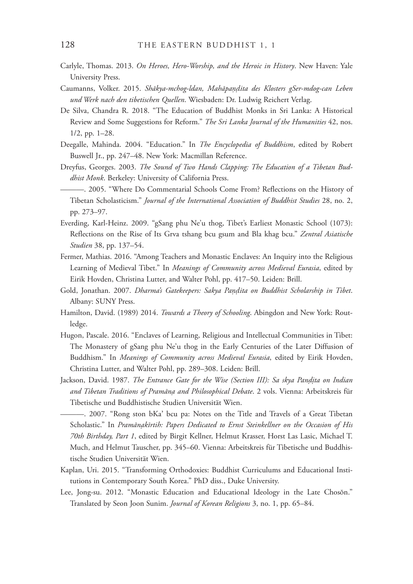- Carlyle, Thomas. 2013. *On Heroes, Hero-Worship, and the Heroic in History*. New Haven: Yale University Press.
- Caumanns, Volker. 2015. *Shākya-mchog-ldan, MahāpaͫǷdita des Klosters gSer-mdog-can Leben und Werk nach den tibetischen Quellen*. Wiesbaden: Dr. Ludwig Reichert Verlag.
- De Silva, Chandra R. 2018. "The Education of Buddhist Monks in Sri Lanka: A Historical Review and Some Suggestions for Reform." *The Sri Lanka Journal of the Humanities* 42, nos. 1/2, pp. 1–28.
- Deegalle, Mahinda. 2004. "Education." In *The Encyclopedia of Buddhism*, edited by Robert Buswell Jr., pp. 247–48. New York: Macmillan Reference.
- Dreyfus, Georges. 2003. *The Sound of Two Hands Clapping: The Education of a Tibetan Buddhist Monk*. Berkeley: University of California Press.
- ———. 2005. "Where Do Commentarial Schools Come From? Reflections on the History of Tibetan Scholasticism." *Journal of the International Association of Buddhist Studies* 28, no. 2, pp. 273–97.
- Everding, Karl-Heinz. 2009. "gSang phu Ne'u thog, Tibet's Earliest Monastic School (1073): Reflections on the Rise of Its Grva tshang bcu gsum and Bla khag bcu." *Zentral Asiatische Studien* 38, pp. 137–54.
- Fermer, Mathias. 2016. "Among Teachers and Monastic Enclaves: An Inquiry into the Religious Learning of Medieval Tibet." In *Meanings of Community across Medieval Eurasia*, edited by Eirik Hovden, Christina Lutter, and Walter Pohl, pp. 417–50. Leiden: Brill.
- Gold, Jonathan. 2007. *Dharma's Gatekeepers: Sakya Pa̱ͫita on Buddhist Scholarship in Tibet*. Albany: SUNY Press.
- Hamilton, David. (1989) 2014. *Towards a Theory of Schooling*. Abingdon and New York: Routledge.
- Hugon, Pascale. 2016. "Enclaves of Learning, Religious and Intellectual Communities in Tibet: The Monastery of gSang phu Ne'u thog in the Early Centuries of the Later Diffusion of Buddhism." In *Meanings of Community across Medieval Eurasia*, edited by Eirik Hovden, Christina Lutter, and Walter Pohl, pp. 289–308. Leiden: Brill.
- Jackson, David. 1987. *The Entrance Gate for the Wise (Section III): Sa skya Pandita on Indian and Tibetan Traditions of PramānǷa and Philosophical Debate*. 2 vols. Vienna: Arbeitskreis für Tibetische und Buddhistische Studien Universität Wien.
	- ———. 2007. "Rong ston bKaɾ bcu pa: Notes on the Title and Travels of a Great Tibetan Scholastic." In *Pramānakīrtih: Papers Dedicated to Ernst Steinkellner on the Occasion of His 70th Birthday, Part 1*, edited by Birgit Kellner, Helmut Krasser, Horst Las Lasic, Michael T. Much, and Helmut Tauscher, pp. 345–60. Vienna: Arbeitskreis für Tibetische und Buddhistische Studien Universität Wien.
- Kaplan, Uri. 2015. "Transforming Orthodoxies: Buddhist Curriculums and Educational Institutions in Contemporary South Korea." PhD diss., Duke University.
- Lee, Jong-su. 2012. "Monastic Education and Educational Ideology in the Late Chosŏn." Translated by Seon Joon Sunim. *Journal of Korean Religions* 3, no. 1, pp. 65–84.